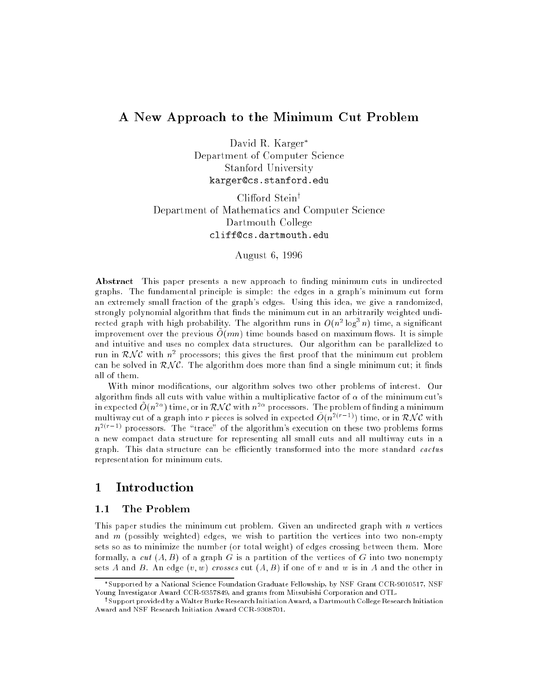## A New Approach to the Minimum Cut Problem

David R. Karger Department of Computer Science Stanford University karger@cs.stanford.edu

Clifford Stein<sup>†</sup> Department of Mathematics and Computer Science Dartmouth College

August 6, 1996

Abstract This paper presents a new approach to finding minimum cuts in undirected graphs. The fundamental principle is simple: the edges in a graph's minimum cut form an extremely small fraction of the graph's edges. Using this idea, we give a randomized, strongly polynomial algorithm that finds the minimum cut in an arbitrarily weighted undirected graph with high probability. The algorithm runs in  $O(n^2 \log^2 n)$  time, a significant improvement over the previous  $O(mn)$  time bounds based on maximum flows. It is simple and intuitive and uses no complex data structures. Our algorithm can be parallelized to run in  $\kappa$ N C with  $n^2$  processors; this gives the first proof that the minimum cut problem can be solved in  $\mathcal{RNC}$ . The algorithm does more than find a single minimum cut; it finds all of them.

With minor modifications, our algorithm solves two other problems of interest. Our algorithm finds all cuts with value within a multiplicative factor of  $\alpha$  of the minimum cut's in expected  $O(n^{2\alpha})$  time, or in  $\mathcal{RNC}$  with  $n^{2\alpha}$  processors. The problem of finding a minimum multiway cut of a graph into r pieces is solved in expected  $\tilde{O}(n^{2(r-1)})$  time, or in RNC with  $n^{2(r-1)}$  processors. The "trace" of the algorithm's execution on these two problems forms a new compact data structure for representing all small cuts and all multiway cuts in a graph. This data structure can be efficiently transformed into the more standard cactus representation for minimum cuts.

## 1 Introduction

#### The Problem  $1.1$

This paper studies the minimum cut problem. Given an undirected graph with n vertices and  $m$  (possibly weighted) edges, we wish to partition the vertices into two non-empty sets so as to minimize the number (or total weight) of edges crossing between them. More formally, a cut  $(A, B)$  of a graph G is a partition of the vertices of G into two nonempty sets A and B. An edge  $(v, w)$  crosses cut  $(A, B)$  if one of v and w is in A and the other in

Supported by a National Science Foundation Graduate Fellowship, by NSF Grant CCR-9010517, NSF Young Investigator Award CCR-9357849, and grants from Mitsubishi Corporation and OTL.

<sup>y</sup> Support provided by a Walter Burke Research Initiation Award, a Dartmouth College Research Initiation Award and NSF Research Initiation Award CCR-9308701.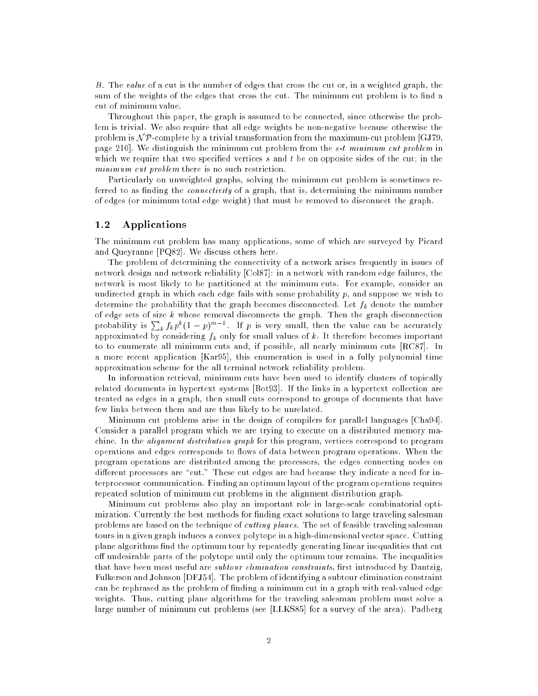B. The value of a cut is the number of edges that cross the cut or, in a weighted graph, the sum of the weights of the edges that cross the cut. The minimum cut problem is to find a cut of minimum value.

Throughout this paper, the graph is assumed to be connected, since otherwise the problem is trivial. We also require that all edge weights be non-negative because otherwise the problem is  $N\mathcal{P}$ -complete by a trivial transformation from the maximum-cut problem [GJ79, page 210]. We distinguish the minimum cut problem from the s-t minimum cut problem in which we require that two specified vertices  $s$  and  $t$  be on opposite sides of the cut; in the minimum cut problem there is no such restriction.

Particularly on unweighted graphs, solving the minimum cut problem is sometimes referred to as finding the *connectivity* of a graph, that is, determining the minimum number of edges (or minimum total edge weight) that must be removed to disconnect the graph.

### 1.2 Applications

The minimum cut problem has many applications, some of which are surveyed by Picard and Queyranne [PQ82]. We discuss others here.

The problem of determining the connectivity of a network arises frequently in issues of network design and network reliability [Col87]: in a network with random edge failures, the network is most likely to be partitioned at the minimum cuts. For example, consider an undirected graph in which each edge fails with some probability  $p$ , and suppose we wish to determine the probability that the graph becomes disconnected. Let  $f_k$  denote the number of edge sets of size  $k$  whose removal disconnects the graph. Then the graph disconnection probability is  $\sum_k f_k p^k (1-p)^{m-k}$ . If p is very small, then the value can be accurately approximated by considering  $f_k$  only for small values of k. It therefore becomes important to to enumerate all minimum cuts and, if possible, all nearly minimum cuts [RC87]. In a more recent application [Kar95], this enumeration is used in a fully polynomial time approximation scheme for the all terminal network reliability problem.

In information retrieval, minimum cuts have been used to identify clusters of topically related documents in hypertext systems [Bot93]. If the links in a hypertext collection are treated as edges in a graph, then small cuts correspond to groups of documents that have few links between them and are thus likely to be unrelated.

Minimum cut problems arise in the design of compilers for parallel languages [Cha94]. Consider a parallel program which we are trying to execute on a distributed memory machine. In the *alignment distribution graph* for this program, vertices correspond to program operations and edges corresponds to flows of data between program operations. When the program operations are distributed among the processors, the edges connecting nodes on different processors are "cut." These cut edges are bad because they indicate a need for interprocessor communication. Finding an optimum layout of the program operations requires repeated solution of minimum cut problems in the alignment distribution graph.

Minimum cut problems also play an important role in large-scale combinatorial optimization. Currently the best methods for finding exact solutions to large traveling salesman problems are based on the technique of *cutting planes*. The set of feasible traveling salesman tours in a given graph induces a convex polytope in a high-dimensional vector space. Cutting plane algorithms find the optimum tour by repeatedly generating linear inequalities that cut off undesirable parts of the polytope until only the optimum tour remains. The inequalities that have been most useful are *subtour elimination constraints*, first introduced by Dantzig, Fulkerson and Johnson [DFJ54]. The problem of identifying a subtour elimination constraint can be rephrased as the problem of finding a minimum cut in a graph with real-valued edge weights. Thus, cutting plane algorithms for the traveling salesman problem must solve a large number of minimum cut problems (see [LLKS85] for a survey of the area). Padberg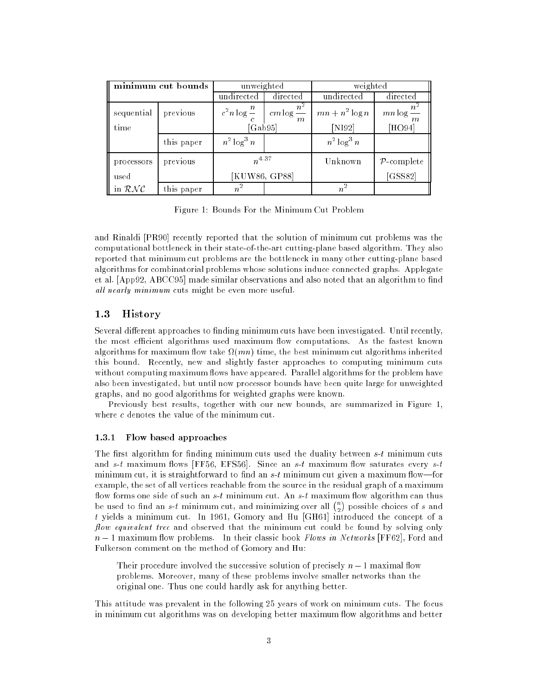| minimum cut bounds |            | unweighted                                                                          |          | weighted                    |                         |
|--------------------|------------|-------------------------------------------------------------------------------------|----------|-----------------------------|-------------------------|
|                    |            | undirected                                                                          | directed | undirected                  | directed                |
| sequential<br>time | previous   | $c^2 n \log \frac{n}{n}$ $cm \log \frac{n^2}{n}$<br>$\boldsymbol{m}$<br>[ $Gab95$ ] |          | $mn + n^2 \log n$<br>[N192] | $mn \log$<br>[HO94]     |
|                    | this paper | $n^2 \log^3 n$                                                                      |          | $n^2 \log^3 n$              |                         |
| processors         | previous   | $n^{4.37}$                                                                          |          | Unknown                     | $\mathcal{P}$ -complete |
| used               |            | [KUW86, GP88]                                                                       |          |                             | [GSS82]                 |
| in $\mathcal{RNC}$ | this paper | $n^2$                                                                               |          | $\overline{n}$              |                         |

Figure 1: Bounds For the Minimum Cut Problem

and Rinaldi [PR90] recently reported that the solution of minimum cut problems was the computational bottleneck in their state-of-the-art cutting-plane based algorithm. They also reported that minimum cut problems are the bottleneck in many other cutting-plane based algorithms for combinatorial problems whose solutions induce connected graphs. Applegate et al. [App92, ABCC95] made similar observations and also noted that an algorithm to find all nearly minimum cuts might be even more useful.

## 1.3 History

Several different approaches to finding minimum cuts have been investigated. Until recently, the most efficient algorithms used maximum flow computations. As the fastest known algorithms for maximum now take  $\Omega(mn)$  time, the best minimum cut algorithms inherited this bound. Recently, new and slightly faster approaches to computing minimum cuts without computing maximum flows have appeared. Parallel algorithms for the problem have also been investigated, but until now processor bounds have been quite large for unweighted graphs, and no good algorithms for weighted graphs were known.

Previously best results, together with our new bounds, are summarized in Figure 1, where c denotes the value of the minimum cut.

### 1.3.1 Flow based approaches

The first algorithm for finding minimum cuts used the duality between  $s-t$  minimum cuts and  $s-t$  maximum flows [FF56, EFS56]. Since an  $s-t$  maximum flow saturates every  $s-t$ minimum cut, it is straightforward to find an  $s$ -t minimum cut given a maximum flow—for example, the set of all vertices reachable from the source in the residual graph of a maximum flow forms one side of such an  $s-t$  minimum cut. An  $s-t$  maximum flow algorithm can thus be used to find an s-t minimum cut, and minimizing over all  $\binom{n}{k}$  possible choices of s and <sup>2</sup> t yields a minimum cut. In 1961, Gomory and Hu [GH61] introduced the concept of a flow equivalent tree and observed that the minimum cut could be found by solving only  $n-1$  maximum flow problems. In their classic book Flows in Networks [FF62], Ford and Fulkerson comment on the method of Gomory and Hu:

Their procedure involved the successive solution of precisely  $n-1$  maximal flow problems. Moreover, many of these problems involve smaller networks than the original one. Thus one could hardly ask for anything better.

This attitude was prevalent in the following 25 years of work on minimum cuts. The focus in minimum cut algorithms was on developing better maximum flow algorithms and better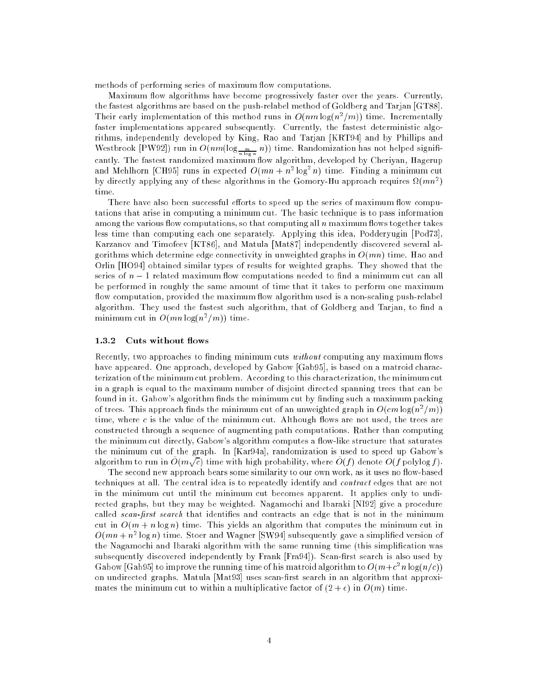methods of performing series of maximum flow computations.

Maximum flow algorithms have become progressively faster over the years. Currently, the fastest algorithms are based on the push-relabel method of Goldberg and Tarjan [GT88]. Their early implementation of this method runs in  $O(nm \log(n^2/m))$  time. Incrementally faster implementations appeared subsequently. Currently, the fastest deterministic algorithms, independently developed by King, Rao and Tarjan [KRT94] and by Phillips and Westbrook [PW92]) run in  $O(nm(\log_{\frac{m}{n \log n}} n))$  time. Randomization has not helped significantly. The fastest randomized maximum flow algorithm, developed by Cheriyan, Hagerup and Mehlhorn [CH95] runs in expected  $O(mn + n^2 \log^2 n)$  time. Finding a minimum cut by directly applying any of these algorithms in the Gomory-Hu approach requires  $\Omega(mn^2)$ time.

There have also been successful efforts to speed up the series of maximum flow computations that arise in computing a minimum cut. The basic technique is to pass information among the various flow computations, so that computing all  $n$  maximum flows together takes less time than computing each one separately. Applying this idea, Podderyugin [Pod73], Karzanov and Timofeev [KT86], and Matula [Mat87] independently discovered several algorithms which determine edge connectivity in unweighted graphs in  $O(mn)$  time. Hao and Orlin [HO94] obtained similar types of results for weighted graphs. They showed that the series of  $n-1$  related maximum flow computations needed to find a minimum cut can all be performed in roughly the same amount of time that it takes to perform one maximum flow computation, provided the maximum flow algorithm used is a non-scaling push-relabel algorithm. They used the fastest such algorithm, that of Goldberg and Tarjan, to find a minimum cut in  $O(mn \log(n^2/m))$  time.

### 1.3.2 Cuts without flows

Recently, two approaches to finding minimum cuts without computing any maximum flows have appeared. One approach, developed by Gabow [Gab95], is based on a matroid characterization of the minimum cut problem. According to this characterization, the minimum cut in a graph is equal to the maximum number of disjoint directed spanning trees that can be found in it. Gabow's algorithm finds the minimum cut by finding such a maximum packing of trees. This approach finds the minimum cut of an unweighted graph in  $O(cm\log(n^2/m))$ time, where c is the value of the minimum cut. Although flows are not used, the trees are constructed through a sequence of augmenting path computations. Rather than computing the minimum cut directly, Gabow's algorithm computes a flow-like structure that saturates the minimum cut of the graph. In [Kar94a], randomization is used to speed up Gabow's algorithm to run in  $O(m\sqrt{c})$  time with high probability, where  $O(f)$  denote  $O(f$  polylog f).

The second new approach bears some similarity to our own work, as it uses no flow-based techniques at all. The central idea is to repeatedly identify and contract edges that are not in the minimum cut until the minimum cut becomes apparent. It applies only to undirected graphs, but they may be weighted. Nagamochi and Ibaraki [NI92] give a procedure called *scan-first search* that identifies and contracts an edge that is not in the minimum cut in  $O(m + n \log n)$  time. This yields an algorithm that computes the minimum cut in  $O(mn + n^2 \log n)$  time. Stoer and Wagner [SW94] subsequently gave a simplified version of the Nagamochi and Ibaraki algorithm with the same running time (this simplication was subsequently discovered independently by Frank [Fra94]). Scan-first search is also used by Gabow [Gab95] to improve the running time of his matroid algorithm to  $O(m+c^2n\log(n/c))$ on undirected graphs. Matula [Mat93] uses scan-first search in an algorithm that approximates the minimum cut to within a multiplicative factor of  $(2 + \epsilon)$  in  $O(m)$  time.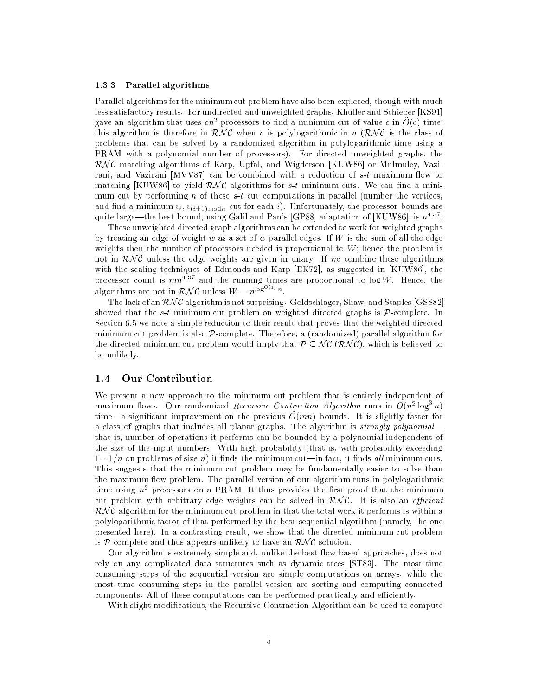### 1.3.3 Parallel algorithms

Parallel algorithms for the minimum cut problem have also been explored, though with much less satisfactory results. For undirected and unweighted graphs, Khuller and Schieber [KS91] gave an algorithm that uses  $cn^2$  processors to find a minimum cut of value c in  $O(c)$  time: this algorithm is therefore in  $\mathcal{RNC}$  when c is polylogarithmic in n  $(\mathcal{RNC})$  is the class of problems that can be solved by a randomized algorithm in polylogarithmic time using a PRAM with a polynomial number of processors). For directed unweighted graphs, the  $\mathcal{RNC}$  matching algorithms of Karp, Upfal, and Wigderson [KUW86] or Mulmuley, Vazirani, and Vazirani [MVV87] can be combined with a reduction of  $s$ -t maximum flow to matching [KUW86] to yield  $\mathcal{RNC}$  algorithms for s-t minimum cuts. We can find a minimum cut by performing n of these  $s-t$  cut computations in parallel (number the vertices, and find a minimum  $v_i, v_{(i+1) \text{ mod } n}$ -cut for each i). Unfortunately, the processor bounds are quite large—the best bound, using Galil and Pan's [GP88] adaptation of [KUW86], is  $n^{4.37}$ .

These unweighted directed graph algorithms can be extended to work for weighted graphs by treating an edge of weight w as a set of w parallel edges. If W is the sum of all the edge weights then the number of processors needed is proportional to  $W$ ; hence the problem is not in  $\mathcal{RNC}$  unless the edge weights are given in unary. If we combine these algorithms with the scaling techniques of Edmonds and Karp [EK72], as suggested in [KUW86], the processor count is  $mn^{4.37}$  and the running times are proportional to log W. Hence, the algorithms are not in  $\mathcal{RNC}$  unless  $W = n^{\log^{10}(1)} n$ .

The lack of an  $\mathcal{RNC}$  algorithm is not surprising. Goldschlager, Shaw, and Staples [GSS82] showed that the s-t minimum cut problem on weighted directed graphs is  $P$ -complete. In Section 6.5 we note a simple reduction to their result that proves that the weighted directed minimum cut problem is also  $\mathcal{P}$ -complete. Therefore, a (randomized) parallel algorithm for the directed minimum cut problem would imply that  $P \subseteq N\mathcal{C}(\mathcal{RNC})$ , which is believed to be unlikely.

#### Our Contribution  $1.4$

We present a new approach to the minimum cut problem that is entirely independent of maximum flows. Our randomized *Recursive Contraction Algorithm* runs in  $O(n^2 \log^2 n)$ time—a significant improvement on the previous  $O(mn)$  bounds. It is slightly faster for a class of graphs that includes all planar graphs. The algorithm is *strongly polynomial* that is, number of operations it performs can be bounded by a polynomial independent of the size of the input numbers. With high probability (that is, with probability exceeding  $1 - 1/n$  on problems of size n) it finds the minimum cut—in fact, it finds all minimum cuts. This suggests that the minimum cut problem may be fundamentally easier to solve than the maximum flow problem. The parallel version of our algorithm runs in polylogarithmic time using  $n^{\ast}$  processors on a PRAM. It thus provides the first proof that the minimum cut problem with arbitrary edge weights can be solved in  $\mathcal{RNC}$ . It is also an *efficient*  $\mathcal{RNC}$  algorithm for the minimum cut problem in that the total work it performs is within a polylogarithmic factor of that performed by the best sequential algorithm (namely, the one presented here). In a contrasting result, we show that the directed minimum cut problem is P-complete and thus appears unlikely to have an  $\mathcal{RNC}$  solution.

Our algorithm is extremely simple and, unlike the best flow-based approaches, does not rely on any complicated data structures such as dynamic trees [ST83]. The most time consuming steps of the sequential version are simple computations on arrays, while the most time consuming steps in the parallel version are sorting and computing connected components. All of these computations can be performed practically and efficiently.

With slight modifications, the Recursive Contraction Algorithm can be used to compute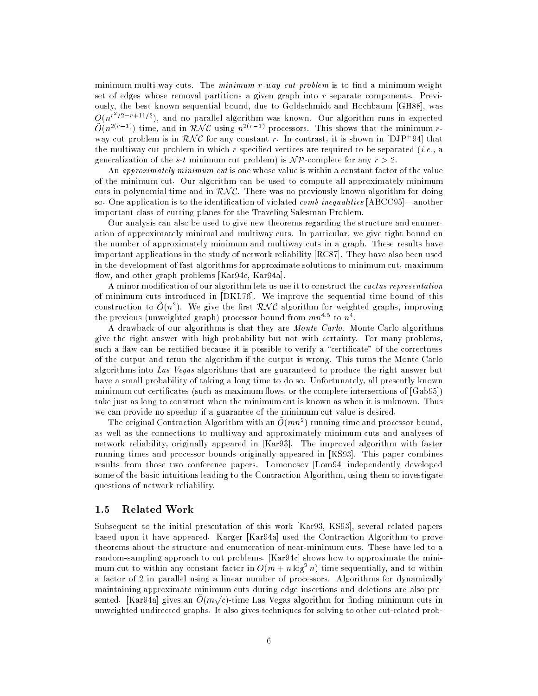minimum multi-way cuts. The  $minimum$  r-way cut problem is to find a minimum weight set of edges whose removal partitions a given graph into r separate components. Previously, the best known sequential bound, due to Goldschmidt and Hochbaum [GH88], was  $O(n^{r^2/2-r+11/2})$ , and no parallel algorithm was known. Our algorithm runs in expected  $\tilde{O}(n^{2(r-1)})$  time, and in  $\mathcal{RNC}$  using  $n^{2(r-1)}$  processors. This shows that the minimum rway cut problem is in  $KN$  C for any constant r. In contrast, it is shown in  $|DJP+94|$  that the multiway cut problem in which r specified vertices are required to be separated  $(i.e., a$ generalization of the s-t minimum cut problem) is  $\mathcal{NP}$ -complete for any  $r > 2$ .

An approximately minimum cut is one whose value is within a constant factor of the value of the minimum cut. Our algorithm can be used to compute all approximately minimum cuts in polynomial time and in  $\mathcal{RNC}$ . There was no previously known algorithm for doing so. One application is to the identification of violated *comb* inequalities  $[ABCC95]$ —another important class of cutting planes for the Traveling Salesman Problem.

Our analysis can also be used to give new theorems regarding the structure and enumeration of approximately minimal and multiway cuts. In particular, we give tight bound on the number of approximately minimum and multiway cuts in a graph. These results have important applications in the study of network reliability [RC87]. They have also been used in the development of fast algorithms for approximate solutions to minimum cut, maximum flow, and other graph problems [Kar94c, Kar94a].

A minor modication of our algorithm lets us use it to construct the cactus representation of minimum cuts introduced in [DKL76]. We improve the sequential time bound of this construction to  $O(n^2)$ . We give the first  $\mathcal{RNC}$  algorithm for weighted graphs, improving the previous (unweighted graph) processor bound from  $mn^{1/3}$  to  $n^{\frac{1}{2}}$ .

A drawback of our algorithms is that they are Monte Carlo. Monte Carlo algorithms give the right answer with high probability but not with certainty. For many problems, such a flaw can be rectified because it is possible to verify a "certificate" of the correctness of the output and rerun the algorithm if the output is wrong. This turns the Monte Carlo algorithms into Las Vegas algorithms that are guaranteed to produce the right answer but have a small probability of taking a long time to do so. Unfortunately, all presently known minimum cut certificates (such as maximum flows, or the complete intersections of [Gab95]) take just as long to construct when the minimum cut is known as when it is unknown. Thus we can provide no speedup if a guarantee of the minimum cut value is desired.

The original Contraction Algorithm with an  $O(mn^2)$  running time and processor bound, as well as the connections to multiway and approximately minimum cuts and analyses of network reliability, originally appeared in [Kar93]. The improved algorithm with faster running times and processor bounds originally appeared in [KS93]. This paper combines results from those two conference papers. Lomonosov [Lom94] independently developed some of the basic intuitions leading to the Contraction Algorithm, using them to investigate questions of network reliability.

### 1.5 Related Work

Subsequent to the initial presentation of this work [Kar93, KS93], several related papers based upon it have appeared. Karger [Kar94a] used the Contraction Algorithm to prove theorems about the structure and enumeration of near-minimum cuts. These have led to a random-sampling approach to cut problems. [Kar94c] shows how to approximate the minimum cut to within any constant factor in  $O(m + n \log^2 n)$  time sequentially, and to within a factor of 2 in parallel using a linear number of processors. Algorithms for dynamically maintaining approximate minimum cuts during edge insertions and deletions are also presented. [Kar94a] gives an  $O(m\sqrt{c})$ -time Las Vegas algorithm for finding minimum cuts in unweighted undirected graphs. It also gives techniques for solving to other cut-related prob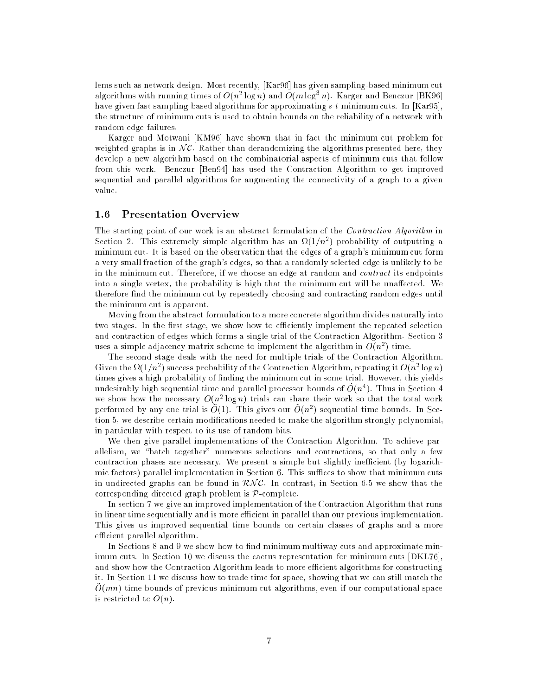lems such as network design. Most recently, [Kar96] has given sampling-based minimum cut algorithms with running times of  $O(n^2 \log n)$  and  $O(m \log^3 n)$ . Karger and Benczur [BK96] have given fast sampling-based algorithms for approximating  $s-t$  minimum cuts. In [Kar95], the structure of minimum cuts is used to obtain bounds on the reliability of a network with random edge failures.

Karger and Motwani [KM96] have shown that in fact the minimum cut problem for weighted graphs is in  $NC$ . Rather than derandomizing the algorithms presented here, they develop a new algorithm based on the combinatorial aspects of minimum cuts that follow from this work. Benczur [Ben94] has used the Contraction Algorithm to get improved sequential and parallel algorithms for augmenting the connectivity of a graph to a given value.

The starting point of our work is an abstract formulation of the *Contraction Algorithm* in Section 2. This extremely simple algorithm has an  $\Omega(1/n^2)$  probability of outputting a minimum cut. It is based on the observation that the edges of a graph's minimum cut form a very small fraction of the graph's edges, so that a randomly selected edge is unlikely to be in the minimum cut. Therefore, if we choose an edge at random and contract its endpoints into a single vertex, the probability is high that the minimum cut will be unaffected. We therefore find the minimum cut by repeatedly choosing and contracting random edges until the minimum cut is apparent.

Moving from the abstract formulation to a more concrete algorithm divides naturally into two stages. In the first stage, we show how to efficiently implement the repeated selection and contraction of edges which forms a single trial of the Contraction Algorithm. Section 3 uses a simple adjacency matrix scheme to implement the algorithm in  $O(n^2)$  time.

The second stage deals with the need for multiple trials of the Contraction Algorithm. Given the  $\Omega(1/n^2)$  success probability of the Contraction Algorithm, repeating it  $O(n^2\log n)$ times gives a high probability of nding the minimum cut in some trial. However, this yields undesirably high sequential time and parallel processor bounds of  $O(n^4)$ . Thus in Section 4 we show how the necessary  $O(n^2 \log n)$  trials can share their work so that the total work performed by any one trial is  $O(1)$ . This gives our  $O(n^2)$  sequential time bounds. In Section 5, we describe certain modications needed to make the algorithm strongly polynomial, in particular with respect to its use of random bits.

We then give parallel implementations of the Contraction Algorithm. To achieve parallelism, we "batch together" numerous selections and contractions, so that only a few contraction phases are necessary. We present a simple but slightly inefficient (by logarithmic factors) parallel implementation in Section  $6$ . This suffices to show that minimum cuts in undirected graphs can be found in  $\mathcal{RNC}$ . In contrast, in Section 6.5 we show that the corresponding directed graph problem is P-complete.

In section 7 we give an improved implementation of the Contraction Algorithm that runs in linear time sequentially and is more efficient in parallel than our previous implementation. This gives us improved sequential time bounds on certain classes of graphs and a more efficient parallel algorithm.

In Sections 8 and 9 we show how to find minimum multiway cuts and approximate minimum cuts. In Section 10 we discuss the cactus representation for minimum cuts [DKL76], and show how the Contraction Algorithm leads to more efficient algorithms for constructing it. In Section 11 we discuss how to trade time for space, showing that we can still match the  $\tilde{O}(mn)$  time bounds of previous minimum cut algorithms, even if our computational space is restricted to  $O(n)$ .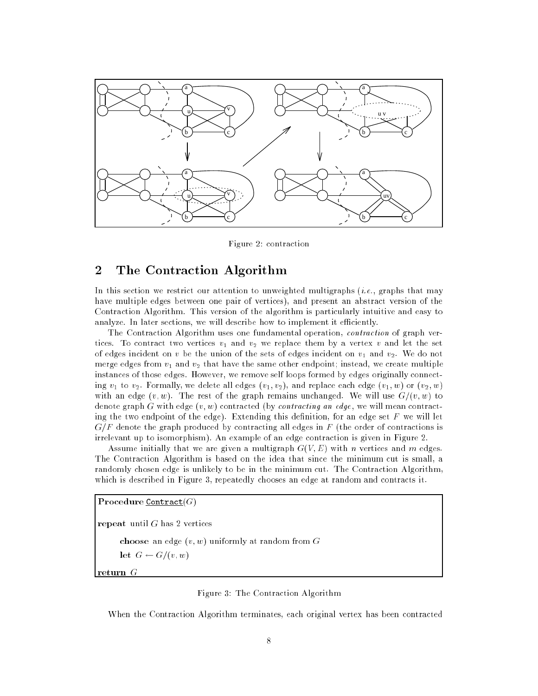

Figure 2: contraction

# 2 The Contraction Algorithm

In this section we restrict our attention to unweighted multigraphs (*i.e.*, graphs that may have multiple edges between one pair of vertices), and present an abstract version of the Contraction Algorithm. This version of the algorithm is particularly intuitive and easy to analyze. In later sections, we will describe how to implement it efficiently.

The Contraction Algorithm uses one fundamental operation, contraction of graph vertices. To contract two vertices  $v_1$  and  $v_2$  we replace them by a vertex v and let the set of edges incident on v be the union of the sets of edges incident on  $v_1$  and  $v_2$ . We do not merge edges from  $v_1$  and  $v_2$  that have the same other endpoint; instead, we create multiple instances of those edges. However, we remove self loops formed by edges originally connecting  $v_1$  to  $v_2$ . Formally, we delete all edges  $(v_1, v_2)$ , and replace each edge  $(v_1, w)$  or  $(v_2, w)$ with an edge  $(v, w)$ . The rest of the graph remains unchanged. We will use  $G/(v, w)$  to denote graph G with edge  $(v, w)$  contracted (by *contracting an edge*, we will mean contracting the two endpoint of the edge). Extending this definition, for an edge set  $F$  we will let  $G/F$  denote the graph produced by contracting all edges in F (the order of contractions is irrelevant up to isomorphism). An example of an edge contraction is given in Figure 2.

Assume initially that we are given a multigraph  $G(V, E)$  with n vertices and m edges. The Contraction Algorithm is based on the idea that since the minimum cut is small, a randomly chosen edge is unlikely to be in the minimum cut. The Contraction Algorithm, which is described in Figure 3, repeatedly chooses an edge at random and contracts it.

```
Procedure Contract(G)
```
repeat until  $G$  has 2 vertices

choose an edge  $(v, w)$  uniformly at random from  $G$ 

let  $G \leftarrow G/(v, w)$ 

return  $G$ 

### Figure 3: The Contraction Algorithm

When the Contraction Algorithm terminates, each original vertex has been contracted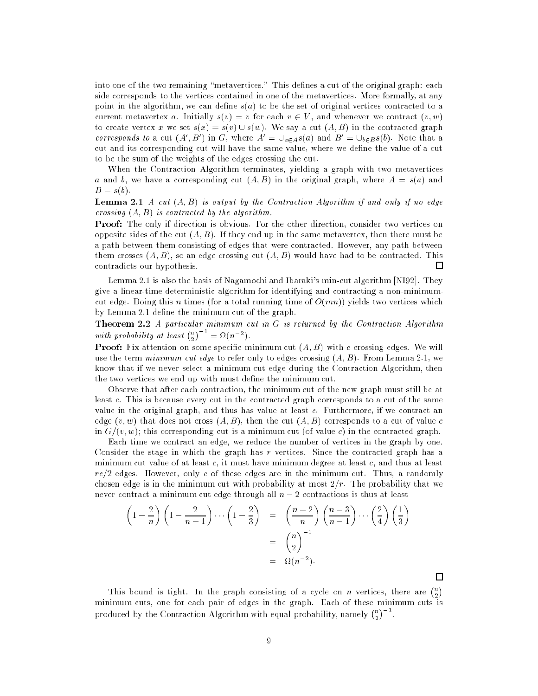into one of the two remaining "metavertices." This defines a cut of the original graph: each side corresponds to the vertices contained in one of the metavertices. More formally, at any point in the algorithm, we can define  $s(a)$  to be the set of original vertices contracted to a current metavertex a. Initially  $s(v) = v$  for each  $v \in V$ , and whenever we contract  $(v, w)$ to create vertex x we set  $s(x) = s(v) \cup s(w)$ . We say a cut  $(A, B)$  in the contracted graph corresponds to a cut  $(A', B')$  in G, where  $A' = \bigcup_{a \in A} s(a)$  and  $B' = \bigcup_{b \in B} s(b)$ . Note that a cut and its corresponding cut will have the same value, where we define the value of a cut to be the sum of the weights of the edges crossing the cut.

When the Contraction Algorithm terminates, yielding a graph with two metavertices a and b, we have a corresponding cut  $(A, B)$  in the original graph, where  $A = s(a)$  and  $B = s(b).$ 

**Lemma 2.1** A cut  $(A, B)$  is output by the Contraction Algorithm if and only if no edge crossing  $(A, B)$  is contracted by the algorithm.

Proof: The only if direction is obvious. For the other direction, consider two vertices on opposite sides of the cut  $(A, B)$ . If they end up in the same metavertex, then there must be a path between them consisting of edges that were contracted. However, any path between them crosses  $(A, B)$ , so an edge crossing cut  $(A, B)$  would have had to be contracted. This contradicts our hypothesis. П

Lemma 2.1 is also the basis of Nagamochi and Ibaraki's min-cut algorithm [NI92]. They give a linear-time deterministic algorithm for identifying and contracting a non-minimumcut edge. Doing this n times (for a total running time of  $O(mn)$ ) yields two vertices which by Lemma 2.1 define the minimum cut of the graph.

**Theorem 2.2** A particular minimum cut in  $G$  is returned by the Contraction Algorithm with probability at least  $\binom{n}{n}$  $\big)^{-1} = \Omega(n^{-2}).$ 

**Proof:** Fix attention on some specific minimum cut  $(A, B)$  with c crossing edges. We will use the term minimum cut edge to refer only to edges crossing  $(A, B)$ . From Lemma 2.1, we know that if we never select a minimum cut edge during the Contraction Algorithm, then the two vertices we end up with must define the minimum cut.

Observe that after each contraction, the minimum cut of the new graph must still be at least c. This is because every cut in the contracted graph corresponds to a cut of the same value in the original graph, and thus has value at least c. Furthermore, if we contract an edge  $(v, w)$  that does not cross  $(A, B)$ , then the cut  $(A, B)$  corresponds to a cut of value c in  $G/(v, w)$ ; this corresponding cut is a minimum cut (of value c) in the contracted graph.

Each time we contract an edge, we reduce the number of vertices in the graph by one. Consider the stage in which the graph has r vertices. Since the contracted graph has a minimum cut value of at least  $c$ , it must have minimum degree at least  $c$ , and thus at least  $rc/2$  edges. However, only c of these edges are in the minimum cut. Thus, a randomly chosen edge is in the minimum cut with probability at most  $2/r$ . The probability that we never contract a minimum cut edge through all  $n - 2$  contractions is thus at least

$$
\left(1 - \frac{2}{n}\right)\left(1 - \frac{2}{n-1}\right)\cdots\left(1 - \frac{2}{3}\right) = \left(\frac{n-2}{n}\right)\left(\frac{n-3}{n-1}\right)\cdots\left(\frac{2}{4}\right)\left(\frac{1}{3}\right)
$$

$$
= \binom{n}{2}^{-1}
$$

$$
= \Omega(n^{-2}).
$$

This bound is tight. In the graph consisting of a cycle on n vertices, there are  $\binom{n}{k}$ minimum cuts, one for each pair of edges in the graph. Each of these minimum cuts is produced by the Contraction Algorithm with equal probability, namely  $\binom{n}{2}^{-1}$ .

 $\Box$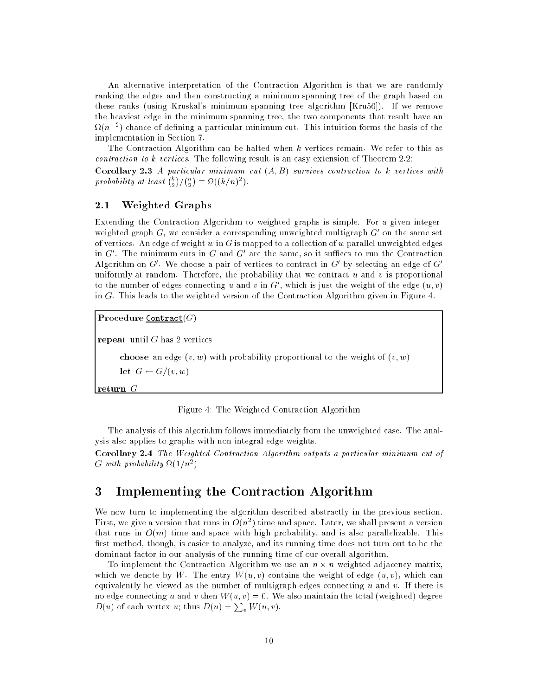An alternative interpretation of the Contraction Algorithm is that we are randomly ranking the edges and then constructing a minimum spanning tree of the graph based on these ranks (using Kruskal's minimum spanning tree algorithm [Kru56]). If we remove the heaviest edge in the minimum spanning tree, the two components that result have an  $\Omega(n^{-2})$  chance of defining a particular minimum cut. This intuition forms the basis of the implementation in Section 7.

The Contraction Algorithm can be halted when k vertices remain. We refer to this as contraction to k vertices. The following result is an easy extension of Theorem 2.2:

**Corollary 2.3** A particular minimum cut  $(A, B)$  survives contraction to k vertices with probability at least  $\binom{k}{k}$  $)/\binom{n}{2}$ . .  $= \Omega((k/n)^2).$ 

#### $2.1$ Weighted Graphs

Extending the Contraction Algorithm to weighted graphs is simple. For a given integerweighted graph G, we consider a corresponding unweighted multigraph  $G'$  on the same set of vertices. An edge of weight w in G is mapped to a collection of w parallel unweighted edges in G'. The minimum cuts in G and G' are the same, so it suffices to run the Contraction Algorithm on G'. We choose a pair of vertices to contract in G' by selecting an edge of  $G'$ uniformly at random. Therefore, the probability that we contract  $u$  and  $v$  is proportional to the number of edges connecting u and v in  $G'$ , which is just the weight of the edge  $(u, v)$ in G. This leads to the weighted version of the Contraction Algorithm given in Figure 4.

Procedure Contract $(G)$ 

repeat until  $G$  has 2 vertices

choose an edge  $(v, w)$  with probability proportional to the weight of  $(v, w)$ 

let  $G \leftarrow G/(v, w)$ 

return  $G$ 

Figure 4: The Weighted Contraction Algorithm

The analysis of this algorithm follows immediately from the unweighted case. The analysis also applies to graphs with non-integral edge weights.

Corollary 2.4 The Weighted Contraction Algorithm outputs a particular minimum cut of G with probability  $\Omega(1/n^2)$ .

## 3 Implementing the Contraction Algorithm

We now turn to implementing the algorithm described abstractly in the previous section. First, we give a version that runs in  $O(n^2)$  time and space. Later, we shall present a version that runs in  $O(m)$  time and space with high probability, and is also parallelizable. This first method, though, is easier to analyze, and its running time does not turn out to be the dominant factor in our analysis of the running time of our overall algorithm.

To implement the Contraction Algorithm we use an  $n \times n$  weighted adjacency matrix, which we denote by W. The entry  $W(u, v)$  contains the weight of edge  $(u, v)$ , which can equivalently be viewed as the number of multigraph edges connecting  $u$  and  $v$ . If there is no edge connecting u and v then  $W(u, v) = 0$ . We also maintain the total (weighted) degree  $D(u)$  of each vertex u; thus  $D(u) = \sum_{v} W(u, v)$ .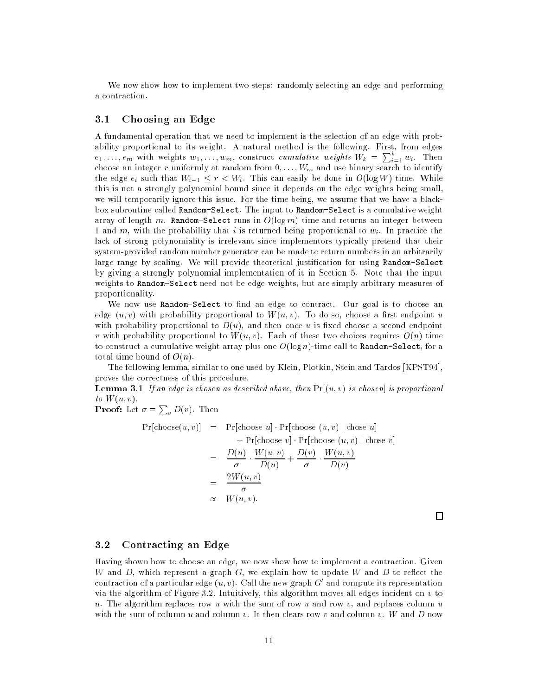We now show how to implement two steps: randomly selecting an edge and performing a contraction.

### 3.1 Choosing an Edge

A fundamental operation that we need to implement is the selection of an edge with probability proportional to its weight. A natural method is the following. First, from edges  $e_1,\ldots,e_m$  with weights  $w_1,\ldots,w_m,$  construct cumulative weights  $W_k$  =  $\sum_{i=1}^k w_i$ . Then choose an integer r uniformly at random from  $0, \ldots, W_m$  and use binary search to identify the edge  $e_i$  such that  $W_{i-1} \leq r < W_i$ . This can easily be done in  $O(\log W)$  time. While this is not a strongly polynomial bound since it depends on the edge weights being small, we will temporarily ignore this issue. For the time being, we assume that we have a blackbox subroutine called Random-Select. The input to Random-Select is a cumulative weight array of length m. Random-Select runs in  $O(\log m)$  time and returns an integer between 1 and m, with the probability that i is returned being proportional to  $w_i$ . In practice the lack of strong polynomiality is irrelevant since implementors typically pretend that their system-provided random number generator can be made to return numbers in an arbitrarily large range by scaling. We will provide theoretical justification for using Random-Select by giving a strongly polynomial implementation of it in Section 5. Note that the input weights to Random-Select need not be edge weights, but are simply arbitrary measures of proportionality.

We now use Random-Select to find an edge to contract. Our goal is to choose an edge  $(u, v)$  with probability proportional to  $W(u, v)$ . To do so, choose a first endpoint u with probability proportional to  $D(u)$ , and then once u is fixed choose a second endpoint v with probability proportional to  $W(u, v)$ . Each of these two choices requires  $O(n)$  time to construct a cumulative weight array plus one  $O(\log n)$ -time call to Random-Select, for a total time bound of  $O(n)$ .

The following lemma, similar to one used by Klein, Plotkin, Stein and Tardos [KPST94], proves the correctness of this procedure.

**Lemma 3.1** If an edge is chosen as described above, then  $Pr[(u, v)$  is chosen is proportional to  $W(u, v)$ .

**Proof:** Let  $\sigma = \sum_{v} D(v)$ . Then

$$
Pr[choose(u, v)] = Pr[choose u] \cdot Pr[choose (u, v) | chose u] + Pr[choose v] \cdot Pr[choose (u, v) | chose v] = \frac{D(u)}{\sigma} \cdot \frac{W(u, v)}{D(u)} + \frac{D(v)}{\sigma} \cdot \frac{W(u, v)}{D(v)} = \frac{2W(u, v)}{\sigma} \propto W(u, v).
$$

 $\Box$ 

### 3.2 Contracting an Edge

Having shown how to choose an edge, we now show how to implement a contraction. Given W and  $D$ , which represent a graph  $G$ , we explain how to update W and  $D$  to reflect the contraction of a particular edge  $(u, v)$ . Call the new graph  $G'$  and compute its representation via the algorithm of Figure 3.2. Intuitively, this algorithm moves all edges incident on  $v$  to u. The algorithm replaces row u with the sum of row u and row  $v$ , and replaces column u with the sum of column u and column v. It then clears row v and column v. W and D now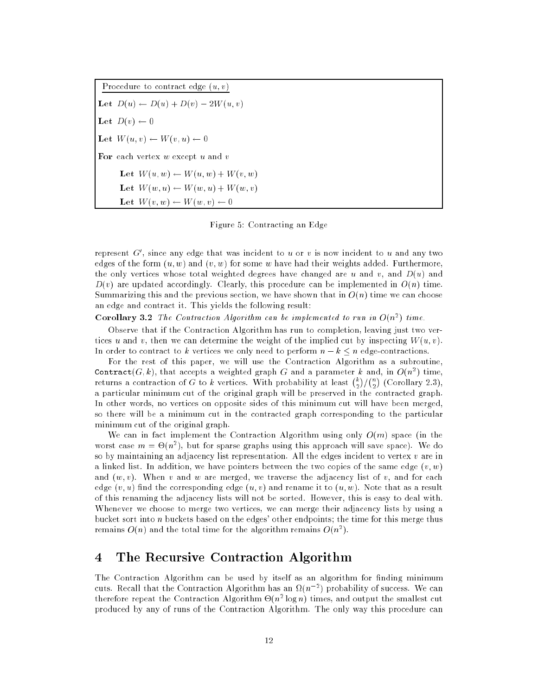Procedure to contract edge  $(u, v)$ Let  $D(u) \leftarrow D(u) + D(v) - 2W(u, v)$ Let  $D(v) \leftarrow 0$ Let  $W(u, v) \leftarrow W(v, u) \leftarrow 0$ For each vertex  $w$  except  $u$  and  $v$ Let  $W(u, w) \leftarrow W(u, w) + W(v, w)$ Let  $W(w, u) \leftarrow W(w, u) + W(w, v)$ Let  $W(v, w) \leftarrow W(w, v) \leftarrow 0$ 

Figure 5: Contracting an Edge

represent  $G'$ , since any edge that was incident to u or v is now incident to u and any two edges of the form  $(u, w)$  and  $(v, w)$  for some w have had their weights added. Furthermore, the only vertices whose total weighted degrees have changed are u and v, and  $D(u)$  and  $D(v)$  are updated accordingly. Clearly, this procedure can be implemented in  $O(n)$  time. Summarizing this and the previous section, we have shown that in  $O(n)$  time we can choose an edge and contract it. This yields the following result:

**Corollary 3.2** The Contraction Algorithm can be implemented to run in  $O(n^2)$  time.

Observe that if the Contraction Algorithm has run to completion, leaving just two vertices u and v, then we can determine the weight of the implied cut by inspecting  $W(u, v)$ . In order to contract to k vertices we only need to perform  $n - k \leq n$  edge-contractions.

For the rest of this paper, we will use the Contraction Algorithm as a subroutine, Contract $(G, k)$ , that accepts a weighted graph G and a parameter k and, in  $O(n^2)$  time, returns a contraction of G to k vertices. With probability at least  $\binom{k}{2} \binom{n}{2}$  $($   $\circ$   $\circ$   $\circ$   $\circ$   $\circ$   $\circ$   $\circ$   $\circ$   $\circ$   $\circ$   $\circ$   $\circ$   $\circ$   $\circ$   $\circ$   $\circ$   $\circ$   $\circ$   $\circ$   $\circ$   $\circ$   $\circ$   $\circ$   $\circ$   $$  a particular minimum cut of the original graph will be preserved in the contracted graph. In other words, no vertices on opposite sides of this minimum cut will have been merged, so there will be a minimum cut in the contracted graph corresponding to the particular minimum cut of the original graph.

We can in fact implement the Contraction Algorithm using only  $O(m)$  space (in the worst case  $m = \Theta(n^*)$ , but for sparse graphs using this approach will save space). We do so by maintaining an adjacency list representation. All the edges incident to vertex v are in a linked list. In addition, we have pointers between the two copies of the same edge  $(v, w)$ and  $(w, v)$ . When v and w are merged, we traverse the adjacency list of v, and for each edge  $(v, u)$  find the corresponding edge  $(u, v)$  and rename it to  $(u, w)$ . Note that as a result of this renaming the adjacency lists will not be sorted. However, this is easy to deal with. Whenever we choose to merge two vertices, we can merge their adjacency lists by using a bucket sort into <sup>n</sup> buckets based on the edges' other endpoints; the time for this merge thus remains  $O(n)$  and the total time for the algorithm remains  $O(n^2)$ .

## 4 The Recursive Contraction Algorithm

The Contraction Algorithm can be used by itself as an algorithm for finding minimum cuts. Recall that the Contraction Algorithm has an  $\Omega(n^{-2})$  probability of success. We can therefore repeat the Contraction Algorithm  $\Theta(n^2|n)$  times, and output the smallest cut produced by any of runs of the Contraction Algorithm. The only way this procedure can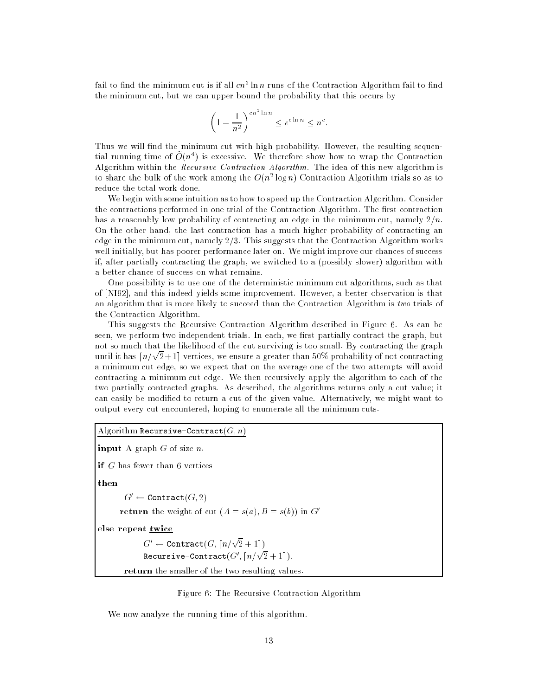rall to find the minimum cut is if all  $cn$  – in  $n$  runs of the Contraction Algorithm fail to find the minimum cut, but we can upper bound the probability that this occurs by

$$
\left(1 - \frac{1}{n^2}\right)^{cn^2 \ln n} \le e^{c \ln n} \le n^c.
$$

Thus we will find the minimum cut with high probability. However, the resulting sequential running time of  $O(n^4)$  is excessive. We therefore show how to wrap the Contraction Algorithm within the Recursive Contraction Algorithm. The idea of this new algorithm is to share the bulk of the work among the  $O(n^2 \log n)$  Contraction Algorithm trials so as to reduce the total work done.

We begin with some intuition as to how to speed up the Contraction Algorithm. Consider the contractions performed in one trial of the Contraction Algorithm. The first contraction has a reasonably low probability of contracting an edge in the minimum cut, namely  $2/n$ . On the other hand, the last contraction has a much higher probability of contracting an edge in the minimum cut, namely  $2/3$ . This suggests that the Contraction Algorithm works well initially, but has poorer performance later on. We might improve our chances of success if, after partially contracting the graph, we switched to a (possibly slower) algorithm with a better chance of success on what remains.

One possibility is to use one of the deterministic minimum cut algorithms, such as that of [NI92], and this indeed yields some improvement. However, a better observation is that an algorithm that is more likely to succeed than the Contraction Algorithm is two trials of the Contraction Algorithm.

This suggests the Recursive Contraction Algorithm described in Figure 6. As can be seen, we perform two independent trials. In each, we first partially contract the graph, but not so much that the likelihood of the cut surviving is too small. By contracting the graph until it has  $\lceil n/\sqrt{2}+1\rceil$  vertices, we ensure a greater than 50% probability of not contracting a minimum cut edge, so we expect that on the average one of the two attempts will avoid contracting a minimum cut edge. We then recursively apply the algorithm to each of the two partially contracted graphs. As described, the algorithms returns only a cut value; it can easily be modied to return a cut of the given value. Alternatively, we might want to output every cut encountered, hoping to enumerate all the minimum cuts.

```
Algorithm Recursive-Contract(G, n)input A graph G of size n.
if G has fewer than 6 vertices
then
        G' \leftarrow Contract(G, 2)return the weight of cut (A = s(a), B = s(b)) in G'
else repeat twice
              G' \leftarrow \texttt{Contract}(G, \lceil n/\sqrt{2} + 1 \rceil){\tt Recursive-Contract}(G', \lceil n/\sqrt{2} + 1 \rceil).return the smaller of the two resulting values.
```


We now analyze the running time of this algorithm.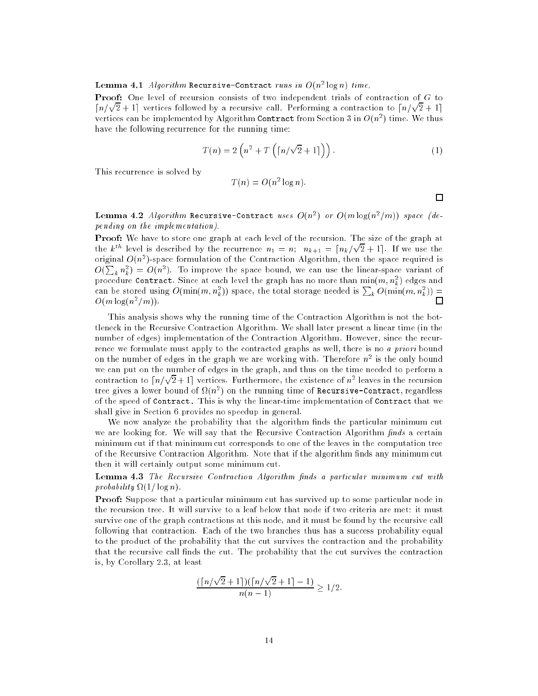#### ${\bf Lemma}$  4.1 Algorithm Recursive-Contract runs in  $O(n^2\log n)$  time.

**Proof:** One level of recursion consists of two independent trials of contraction of G to  $\lceil n/\sqrt{2} + 1 \rceil$  vertices followed by a recursive call. Performing a contraction to  $\lceil n/\sqrt{2} + 1 \rceil$ vertices can be implemented by Algorithm Contract from Section 3 in  $O(n^2)$  time. We thus have the following recurrence for the running time:

$$
T(n) = 2\left(n^2 + T\left(\lceil n/\sqrt{2} + 1\rceil\right)\right). \tag{1}
$$

This recurrence is solved by

$$
T(n) = O(n^2 \log n).
$$

□

Lemma 4.2 Algorithm Recursive-Contract uses  $O(n^2)$  or  $O(m\log(n^2/m))$  space (depending on the implementation).

Proof: We have to store one graph at each level of the recursion. The size of the graph at the  $k^{th}$  level is described by the recurrence  $n_1 = n$ ;  $n_{k+1} = \lceil n_k/\sqrt{n} \rceil$ 2 + 1e. If we use the original  $O(n^2)$ -space formulation of the Contraction Algorithm, then the space required is  $O(\sum_k n_k^2) = O(n^2)$ . To improve the space bound, we can use the linear-space variant of procedure <code>contract</code> . Since at each level the graph has no more than  $\min(m,n_{\tilde{k}})$  edges and can be stored using  $O(\min(m,n_k^2))$  space, the total storage needed is  $\sum_k O(\min(m,n_k^2)) =$  $\Box$  $O(m \log(n^2/m))$ .

This analysis shows why the running time of the Contraction Algorithm is not the bottleneck in the Recursive Contraction Algorithm. We shall later present a linear time (in the number of edges) implementation of the Contraction Algorithm. However, since the recurrence we formulate must apply to the contracted graphs as well, there is no a priori bound on the number of edges in the graph we are working with. Therefore  $n^\ast$  is the only bound we can put on the number of edges in the graph, and thus on the time needed to perform a contraction to  $\lceil n/\sqrt{2} + 1\rceil$  vertices. Furthermore, the existence of  $n^2$  leaves in the recursion tree gives a lower bound of  $\Omega(n^*)$  on the running time of  ${\tt Recursive-Contract}$ , regardless of the speed of Contract. This is why the linear-time implementation of Contract that we shall give in Section 6 provides no speedup in general.

We now analyze the probability that the algorithm finds the particular minimum cut we are looking for. We will say that the Recursive Contraction Algorithm  $finds$  a certain minimum cut if that minimum cut corresponds to one of the leaves in the computation tree of the Recursive Contraction Algorithm. Note that if the algorithm finds any minimum cut then it will certainly output some minimum cut.

**Lemma 4.3** The Recursive Contraction Algorithm finds a particular minimum cut with  $\text{probability } \Omega(1/\log n).$ 

**Proof:** Suppose that a particular minimum cut has survived up to some particular node in the recursion tree. It will survive to a leaf below that node if two criteria are met: it must survive one of the graph contractions at this node, and it must be found by the recursive call following that contraction. Each of the two branches thus has a success probability equal to the product of the probability that the cut survives the contraction and the probability that the recursive call finds the cut. The probability that the cut survives the contraction is, by Corollary 2.3, at least

$$
\frac{(\lceil n/\sqrt{2}+1\rceil)(\lceil n/\sqrt{2}+1\rceil-1)}{n(n-1)} \ge 1/2.
$$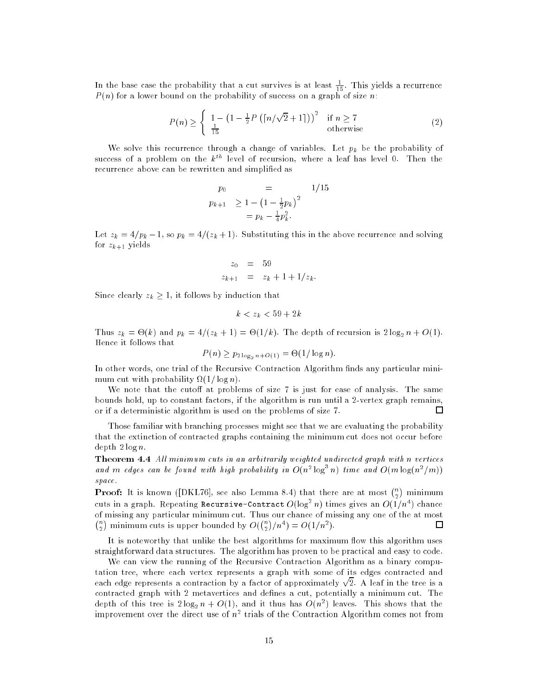In the base case the probability that a cut survives is at least  $\frac{1}{15}$ . This yields a recurrence  $P(n)$  for a lower bound on the probability of success on a graph of size n:

$$
P(n) \ge \begin{cases} 1 - \left(1 - \frac{1}{2}P\left(\lceil n/\sqrt{2} + 1\rceil\right)\right)^2 & \text{if } n \ge 7\\ \frac{1}{15} & \text{otherwise} \end{cases}
$$
 (2)

We solve this recurrence through a change of variables. Let  $p_k$  be the probability of success of a problem on the  $k^{th}$  level of recursion, where a leaf has level 0. Then the recurrence above can be rewritten and simplified as

$$
p_0 = 1/15
$$
  
\n
$$
p_{k+1} \ge 1 - \left(1 - \frac{1}{2}p_k\right)^2
$$
  
\n
$$
= p_k - \frac{1}{4}p_k^2.
$$

Let  $z_k = 4/p_k - 1$ , so  $p_k = 4/(z_k + 1)$ . Substituting this in the above recurrence and solving for  $z_{k+1}$  yields

$$
z_0 = 59
$$
  

$$
z_{k+1} = z_k + 1 + 1/z_k.
$$

Since clearly  $z_k \geq 1$ , it follows by induction that

$$
k < z_k < 59 + 2k
$$

Thus  $z_k = \Theta(k)$  and  $p_k = 4/(z_k + 1) = \Theta(1/k)$ . The depth of recursion is  $2\log_2 n + O(1)$ . Hence it follows that

$$
P(n) \ge p_{2\log_2 n + O(1)} = \Theta(1/\log n).
$$

In other words, one trial of the Recursive Contraction Algorithm finds any particular minimum cut with probability  $\Omega(1/\log n)$ .

We note that the cutoff at problems of size  $7$  is just for ease of analysis. The same bounds hold, up to constant factors, if the algorithm is run until a 2-vertex graph remains, or if a deterministic algorithm is used on the problems of size 7.  $\Box$ 

Those familiar with branching processes might see that we are evaluating the probability that the extinction of contracted graphs containing the minimum cut does not occur before  $depth 2 log n$ .

Theorem 4.4 All minimum cuts in an arbitrarily weighted undirected graph with n vertices and m edges can be found with high probability in  $O(n^2 \log^3 n)$  time and  $O(m \log(n^2/m))$ space.

**Proof:** It is known ([DKL76], see also Lemma 8.4) that there are at most  $\binom{n}{k}$ cuts in a graph. Repeating Recursive-Contract  $O(\log^2 n)$  times gives an  $O(1/n^4)$  chance of missing any particular minimum cut. Thus our chance of missing any one of the at most  $\binom{n}{2}$  minimum cuts is upper bounded by  $O(\binom{n}{2}/n^4) = O(1/n^2)$ .  $\Box$ 

It is noteworthy that unlike the best algorithms for maximum flow this algorithm uses straightforward data structures. The algorithm has proven to be practical and easy to code.

We can view the running of the Recursive Contraction Algorithm as a binary computation tree, where each vertex represents a graph with some of its edges contracted and each edge represents a contraction by a factor of approximately  $\sqrt{2}$ . A leaf in the tree is a contracted graph with 2 metavertices and defines a cut, potentially a minimum cut. The depth of this tree is  $2\log_2 n + O(1)$ , and it thus has  $O(n^2)$  leaves. This shows that the improvement over the direct use of  $n^\ast$  trials of the Contraction Algorithm comes not from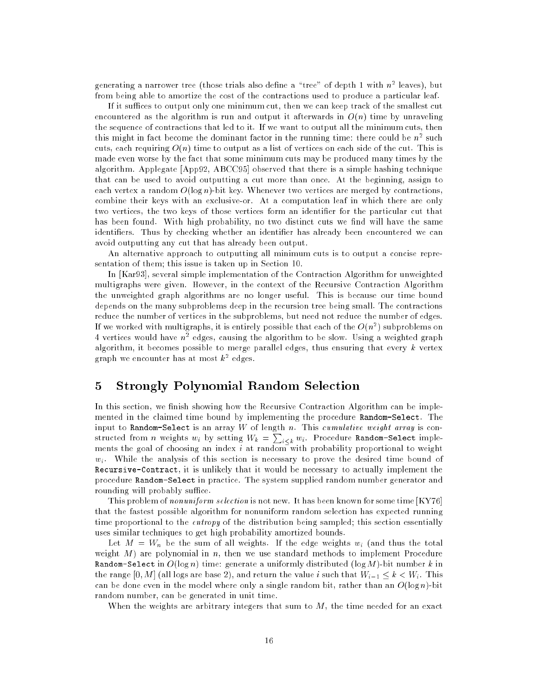generating a narrower tree (those trials also define a "tree" of depth 1 with  $n^{\ast}$  leaves), but from being able to amortize the cost of the contractions used to produce a particular leaf.

If it suffices to output only one minimum cut, then we can keep track of the smallest cut encountered as the algorithm is run and output it afterwards in  $O(n)$  time by unraveling the sequence of contractions that led to it. If we want to output all the minimum cuts, then this might in fact become the dominant factor in the running time: there could be  $n^\omega$  such cuts, each requiring  $O(n)$  time to output as a list of vertices on each side of the cut. This is made even worse by the fact that some minimum cuts may be produced many times by the algorithm. Applegate [App92, ABCC95] observed that there is a simple hashing technique that can be used to avoid outputting a cut more than once. At the beginning, assign to each vertex a random  $O(\log n)$ -bit key. Whenever two vertices are merged by contractions, combine their keys with an exclusive-or. At a computation leaf in which there are only two vertices, the two keys of those vertices form an identier for the particular cut that has been found. With high probability, no two distinct cuts we find will have the same identifiers. Thus by checking whether an identifier has already been encountered we can avoid outputting any cut that has already been output.

An alternative approach to outputting all minimum cuts is to output a concise representation of them; this issue is taken up in Section 10.

In [Kar93], several simple implementation of the Contraction Algorithm for unweighted multigraphs were given. However, in the context of the Recursive Contraction Algorithm the unweighted graph algorithms are no longer useful. This is because our time bound depends on the many subproblems deep in the recursion tree being small. The contractions reduce the number of vertices in the subproblems, but need not reduce the number of edges. If we worked with multigraphs, it is entirely possible that each of the  $O(n^2)$  subproblems on  $4$  vertices would have  $n^\ast$  edges, causing the algorithm to be slow. Using a weighted graph algorithm, it becomes possible to merge parallel edges, thus ensuring that every  $k$  vertex graph we encounter has at most  $k^2$  edges.

## 5 Strongly Polynomial Random Selection

In this section, we finish showing how the Recursive Contraction Algorithm can be implemented in the claimed time bound by implementing the procedure Random-Select. The input to Random-Select is an array  $W$  of length  $n$ . This cumulative weight array is constructed from n weights  $w_i$  by setting  $W_k = \sum_{i \leq k} w_i$ . Procedure Random-Select implements the goal of choosing an index  $i$  at random with probability proportional to weight  $w_i$ . While the analysis of this section is necessary to prove the desired time bound of Recursive-Contract, it is unlikely that it would be necessary to actually implement the procedure Random-Select in practice. The system supplied random number generator and rounding will probably suffice.

This problem of nonuniform selection is not new. It has been known for some time [KY76] that the fastest possible algorithm for nonuniform random selection has expected running time proportional to the *entropy* of the distribution being sampled; this section essentially uses similar techniques to get high probability amortized bounds.

Let  $M = W_n$  be the sum of all weights. If the edge weights  $w_i$  (and thus the total weight  $M$ ) are polynomial in n, then we use standard methods to implement Procedure Random-Select in  $O(\log n)$  time: generate a uniformly distributed  $(\log M)$ -bit number k in the range  $[0, M]$  (all logs are base 2), and return the value i such that  $W_{i-1} \leq k < W_i$ . This can be done even in the model where only a single random bit, rather than an  $O(\log n)$ -bit random number, can be generated in unit time.

When the weights are arbitrary integers that sum to  $M$ , the time needed for an exact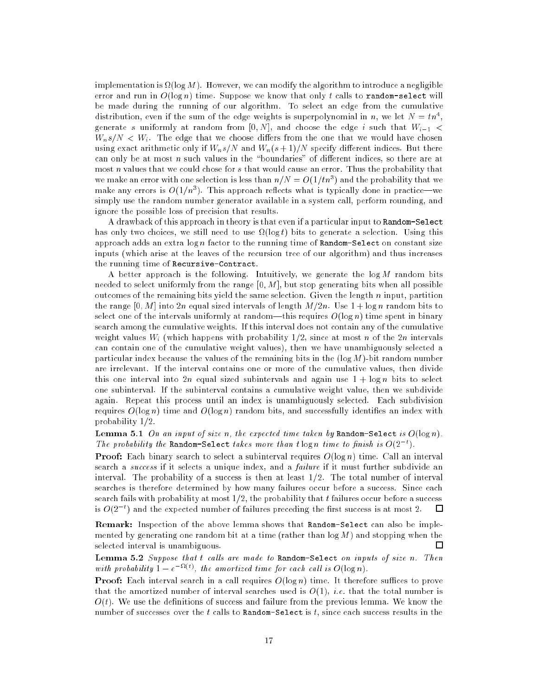implementation is  $\Omega(\log M)$ . However, we can modify the algorithm to introduce a negligible error and run in  $O(\log n)$  time. Suppose we know that only t calls to random-select will be made during the running of our algorithm. To select an edge from the cumulative distribution, even if the sum of the edge weights is superpolynomial in n, we let  $N = t n^4$ , generate s uniformly at random from  $[0, N]$ , and choose the edge i such that  $W_{i-1}$  <  $W_n s/N < W_i$ . The edge that we choose differs from the one that we would have chosen using exact arithmetic only if  $W_n s/N$  and  $W_n(s + 1)/N$  specify different indices. But there can only be at most  $n$  such values in the "boundaries" of different indices, so there are at most n values that we could chose for s that would cause an error. Thus the probability that we make an error with one selection is less than  $n/N = O(1/tn^3)$  and the probability that we make any errors is  $O(1/n^3)$ . This approach reflects what is typically done in practice—we simply use the random number generator available in a system call, perform rounding, and ignore the possible loss of precision that results.

A drawback of this approach in theory is that even if a particular input to Random-Select has only two choices, we still need to use  $\Omega(\log t)$  bits to generate a selection. Using this approach adds an extra  $\log n$  factor to the running time of Random-Select on constant size inputs (which arise at the leaves of the recursion tree of our algorithm) and thus increases the running time of Recursive-Contract.

A better approach is the following. Intuitively, we generate the  $\log M$  random bits needed to select uniformly from the range  $[0, M]$ , but stop generating bits when all possible outcomes of the remaining bits yield the same selection. Given the length n input, partition the range [0, M] into 2n equal sized intervals of length  $M/2n$ . Use  $1 + \log n$  random bits to select one of the intervals uniformly at random—this requires  $O(\log n)$  time spent in binary search among the cumulative weights. If this interval does not contain any of the cumulative weight values  $W_i$  (which happens with probability  $1/2$ , since at most n of the 2n intervals can contain one of the cumulative weight values), then we have unambiguously selected a particular index because the values of the remaining bits in the  $(\log M)$ -bit random number are irrelevant. If the interval contains one or more of the cumulative values, then divide this one interval into 2n equal sized subintervals and again use  $1 + \log n$  bits to select one subinterval. If the subinterval contains a cumulative weight value, then we subdivide again. Repeat this process until an index is unambiguously selected. Each subdivision requires  $O(\log n)$  time and  $O(\log n)$  random bits, and successfully identifies an index with probability 1=2.

**Lemma 5.1** On an input of size n, the expected time taken by Random-Select is  $O(\log n)$ . The probability the Random-Select takes more than t  $\log n$  time to finish is  $O(2^{-t})$ .

**Proof:** Each binary search to select a subinterval requires  $O(\log n)$  time. Call an interval search a success if it selects a unique index, and a failure if it must further subdivide an interval. The probability of a success is then at least  $1/2$ . The total number of interval searches is therefore determined by how many failures occur before a success. Since each search fails with probability at most  $1/2$ , the probability that t failures occur before a success is  $O(2^{-t})$  and the expected number of failures preceding the first success is at most 2.  $\Box$ 

Remark: Inspection of the above lemma shows that Random-Select can also be implemented by generating one random bit at a time (rather than  $\log M$ ) and stopping when the selected interval is unambiguous. П

Lemma 5.2 Suppose that  $t$  calls are made to Random-Select on inputs of size n. Then with probability  $1 - e^{-\Omega(t)}$ , the amortized time for each call is  $O(\log n)$ .

**Proof:** Each interval search in a call requires  $O(\log n)$  time. It therefore suffices to prove that the amortized number of interval searches used is  $O(1)$ , *i.e.* that the total number is  $O(t)$ . We use the definitions of success and failure from the previous lemma. We know the number of successes over the t calls to  $Random-Select$  is t, since each success results in the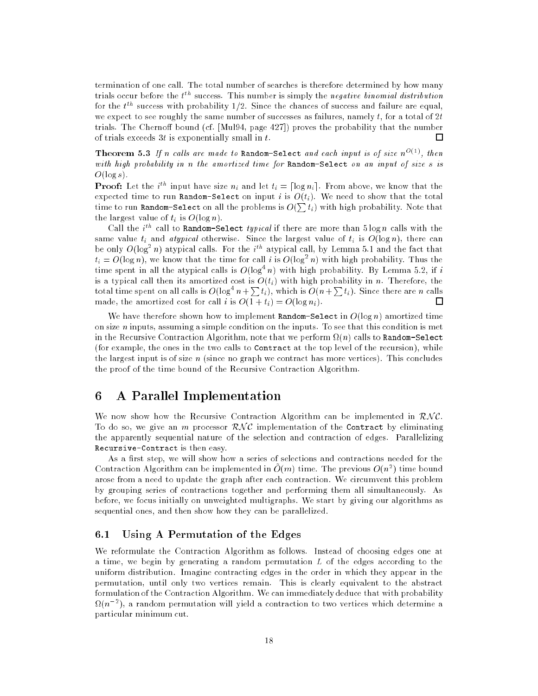termination of one call. The total number of searches is therefore determined by how many trials occur before the  $t^{th}$  success. This number is simply the *negative binomial distribution* for the  $t^{\textit{th}}$  success with probability 1/2. Since the chances of success and failure are equal, we expect to see roughly the same number of successes as failures, namely  $t$ , for a total of  $2t$ trials. The Chernoff bound (cf. [Mul94, page 427]) proves the probability that the number of trials exceeds  $3t$  is exponentially small in  $t$ .  $\Box$ 

**Theorem 5.3** If n calls are made to Random-Select and each input is of size  $n^{O(1)}$ , then with high probability in n the amortized time for Random-Select on an input of size s is  $O(\log s)$ .

**Proof:** Let the *i*<sup>th</sup> input have size  $n_i$  and let  $t_i = \lceil \log n_i \rceil$ . From above, we know that the expected time to run Random-Select on input i is  $O(t_i)$ . We need to show that the total time to run Random-Select on all the problems is  $O(\sum t_i)$  with high probability. Note that the largest value of  $t_i$  is  $O(\log n)$ .

Call the  $i^{th}$  call to Random-Select *tupical* if there are more than  $5 \log n$  calls with the same value  $t_i$  and *atypical* otherwise. Since the largest value of  $t_i$  is  $O(\log n)$ , there can be only  $O(\log^2 n)$  atypical calls. For the *i*<sup>th</sup> atypical call, by Lemma 5.1 and the fact that  $t_i = O(\log n)$ , we know that the time for call i is  $O(\log^2 n)$  with high probability. Thus the time spent in all the atypical calls is  $O(\log^4 n)$  with high probability. By Lemma 5.2, if i is a typical call then its amortized cost is  $O(t_i)$  with high probability in n. Therefore, the total time spent on all calls is  $O(\log^4 n + \sum t_i)$ , which is  $O(n + \sum t_i)$ . Since there are n calls made, the amortized cost for call i is  $O(1 + t_i) = O(\log n_i)$ . □

We have therefore shown how to implement Random-Select in  $O(\log n)$  amortized time on size n inputs, assuming a simple condition on the inputs. To see that this condition is met in the Recursive Contraction Algorithm, note that we perform  $\Omega(n)$  calls to  ${\tt Random-Select}$ (for example, the ones in the two calls to Contract at the top level of the recursion), while the largest input is of size  $n$  (since no graph we contract has more vertices). This concludes the proof of the time bound of the Recursive Contraction Algorithm.

## 6 A Parallel Implementation

We now show how the Recursive Contraction Algorithm can be implemented in  $RNC$ . To do so, we give an m processor  $RNC$  implementation of the Contract by eliminating the apparently sequential nature of the selection and contraction of edges. Parallelizing Recursive-Contract is then easy.

As a first step, we will show how a series of selections and contractions needed for the Contraction Algorithm can be implemented in  $O(m)$  time. The previous  $O(n^2)$  time bound arose from a need to update the graph after each contraction. We circumvent this problem by grouping series of contractions together and performing them all simultaneously. As before, we focus initially on unweighted multigraphs. We start by giving our algorithms as sequential ones, and then show how they can be parallelized.

## 6.1 Using A Permutation of the Edges

We reformulate the Contraction Algorithm as follows. Instead of choosing edges one at a time, we begin by generating a random permutation  $L$  of the edges according to the uniform distribution. Imagine contracting edges in the order in which they appear in the permutation, until only two vertices remain. This is clearly equivalent to the abstract formulation of the Contraction Algorithm. We can immediately deduce that with probability  $\Omega(n^{-2})$ , a random permutation will yield a contraction to two vertices which determine a particular minimum cut.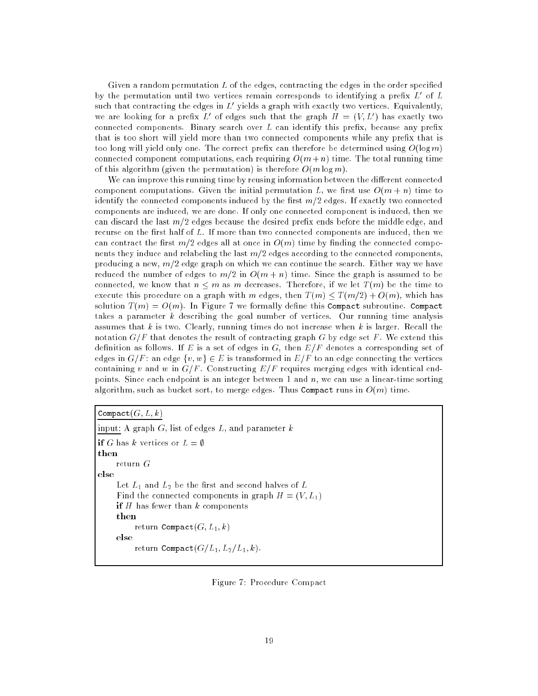Given a random permutation  $L$  of the edges, contracting the edges in the order specified by the permutation until two vertices remain corresponds to identifying a prefix  $L'$  of  $L$ such that contracting the edges in  $L'$  yields a graph with exactly two vertices. Equivalently, we are looking for a prefix L' of edges such that the graph  $H = (V, L')$  has exactly two connected components. Binary search over  $L$  can identify this prefix, because any prefix that is too short will yield more than two connected components while any prefix that is too long will yield only one. The correct prefix can therefore be determined using  $O(\log m)$ connected component computations, each requiring  $O(m+n)$  time. The total running time of this algorithm (given the permutation) is therefore  $O(m \log m)$ .

We can improve this running time by reusing information between the different connected component computations. Given the initial permutation L, we first use  $O(m + n)$  time to identify the connected components induced by the first  $m/2$  edges. If exactly two connected components are induced, we are done. If only one connected component is induced, then we can discard the last  $m/2$  edges because the desired prefix ends before the middle edge, and recurse on the first half of  $L$ . If more than two connected components are induced, then we can contract the first  $m/2$  edges all at once in  $O(m)$  time by finding the connected components they induce and relabeling the last  $m/2$  edges according to the connected components, producing a new,  $m/2$  edge graph on which we can continue the search. Either way we have reduced the number of edges to  $m/2$  in  $O(m + n)$  time. Since the graph is assumed to be connected, we know that  $n \leq m$  as m decreases. Therefore, if we let  $T(m)$  be the time to execute this procedure on a graph with m edges, then  $T(m) \leq T(m/2) + O(m)$ , which has solution  $T(m) = O(m)$ . In Figure 7 we formally define this Compact subroutine. Compact takes a parameter  $k$  describing the goal number of vertices. Our running time analysis assumes that k is two. Clearly, running times do not increase when k is larger. Recall the notation  $G/F$  that denotes the result of contracting graph G by edge set F. We extend this definition as follows. If E is a set of edges in G, then  $E/F$  denotes a corresponding set of edges in  $G/F$ : an edge  $\{v, w\} \in E$  is transformed in  $E/F$  to an edge connecting the vertices containing v and w in  $G/F$ . Constructing  $E/F$  requires merging edges with identical endpoints. Since each endpoint is an integer between 1 and n, we can use a linear-time sorting algorithm, such as bucket sort, to merge edges. Thus Compact runs in  $O(m)$  time.

Compact $(G, L, k)$ input: A graph  $G$ , list of edges  $L$ , and parameter  $k$ if G has k vertices or  $L = \emptyset$ then return G else Let  $L_1$  and  $L_2$  be the first and second halves of  $L$ Find the connected components in graph  $H = (V, L_1)$ **if**  $H$  has fewer than  $k$  components then return Compact $(G, L_1, k)$ else return Compact $(G/L_1, L_2/L_1, k)$ .

Figure 7: Procedure Compact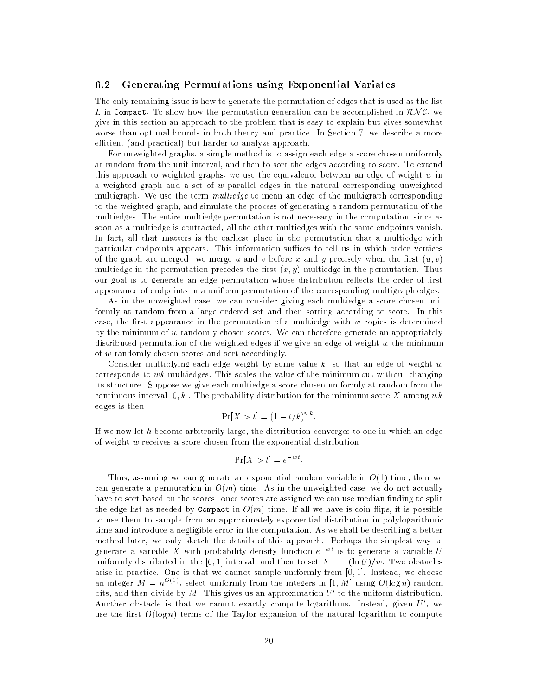#### $6.2$ 6.2 Generating Permutations using Exponential Variates

The only remaining issue is how to generate the permutation of edges that is used as the list L in Compact. To show how the permutation generation can be accomplished in  $\mathcal{RNC}$ , we give in this section an approach to the problem that is easy to explain but gives somewhat worse than optimal bounds in both theory and practice. In Section 7, we describe a more efficient (and practical) but harder to analyze approach.

For unweighted graphs, a simple method is to assign each edge a score chosen uniformly at random from the unit interval, and then to sort the edges according to score. To extend this approach to weighted graphs, we use the equivalence between an edge of weight  $w$  in a weighted graph and a set of w parallel edges in the natural corresponding unweighted multigraph. We use the term *multiedge* to mean an edge of the multigraph corresponding to the weighted graph, and simulate the process of generating a random permutation of the multiedges. The entire multiedge permutation is not necessary in the computation, since as soon as a multiedge is contracted, all the other multiedges with the same endpoints vanish. In fact, all that matters is the earliest place in the permutation that a multiedge with particular endpoints appears. This information suffices to tell us in which order vertices of the graph are merged: we merge u and v before x and y precisely when the first  $(u, v)$ multiedge in the permutation precedes the first  $(x, y)$  multiedge in the permutation. Thus our goal is to generate an edge permutation whose distribution reflects the order of first appearance of endpoints in a uniform permutation of the corresponding multigraph edges.

As in the unweighted case, we can consider giving each multiedge a score chosen uniformly at random from a large ordered set and then sorting according to score. In this case, the first appearance in the permutation of a multiedge with  $w$  copies is determined by the minimum of w randomly chosen scores. We can therefore generate an appropriately distributed permutation of the weighted edges if we give an edge of weight  $w$  the minimum of w randomly chosen scores and sort accordingly.

Consider multiplying each edge weight by some value  $k$ , so that an edge of weight w corresponds to  $wk$  multiedges. This scales the value of the minimum cut without changing its structure. Suppose we give each multiedge a score chosen uniformly at random from the continuous interval  $[0, k]$ . The probability distribution for the minimum score X among wk edges is then

$$
\Pr[X > t] = (1 - t/k)^{wk}.
$$

If we now let k become arbitrarily large, the distribution converges to one in which an edge of weight w receives a score chosen from the exponential distribution

$$
\Pr[X > t] = e^{-wt}
$$

Thus, assuming we can generate an exponential random variable in  $O(1)$  time, then we can generate a permutation in  $O(m)$  time. As in the unweighted case, we do not actually have to sort based on the scores: once scores are assigned we can use median finding to split the edge list as needed by Compact in  $O(m)$  time. If all we have is coin flips, it is possible to use them to sample from an approximately exponential distribution in polylogarithmic time and introduce a negligible error in the computation. As we shall be describing a better method later, we only sketch the details of this approach. Perhaps the simplest way to generate a variable X with probability density function  $e^{-wt}$  is to generate a variable U uniformly distributed in the [0, 1] interval, and then to set  $X = -(\ln U)/w$ . Two obstacles arise in practice. One is that we cannot sample uniformly from [0; 1]. Instead, we choose an integer  $M = n^{O(1)}$ , select uniformly from the integers in [1, M] using  $O(\log n)$  random bits, and then divide by M. This gives us an approximation  $U'$  to the uniform distribution. Another obstacle is that we cannot exactly compute logarithms. Instead, given  $U'$ , we use the first  $O(\log n)$  terms of the Taylor expansion of the natural logarithm to compute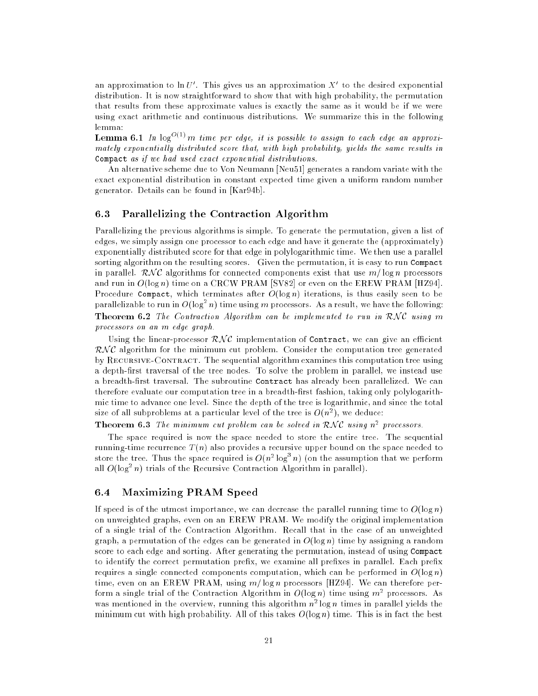an approximation to  $\ln U'$ . This gives us an approximation X' to the desired exponential distribution. It is now straightforward to show that with high probability, the permutation that results from these approximate values is exactly the same as it would be if we were using exact arithmetic and continuous distributions. We summarize this in the following lemma:

**Lemma 6.1** In  $log^{O(1)}m$  time per edge, it is possible to assign to each edge an approximately exponentially distributed score that, with high probability, yields the same results in Compact as if we had used exact exponential distributions.

An alternative scheme due to Von Neumann [Neu51] generates a random variate with the exact exponential distribution in constant expected time given a uniform random number generator. Details can be found in [Kar94b].

### 6.3 Parallelizing the Contraction Algorithm

Parallelizing the previous algorithms is simple. To generate the permutation, given a list of edges, we simply assign one processor to each edge and have it generate the (approximately) exponentially distributed score for that edge in polylogarithmic time. We then use a parallel sorting algorithm on the resulting scores. Given the permutation, it is easy to run Compact in parallel. RNC algorithms for connected components exist that use  $m/\log n$  processors and run in  $O(\log n)$  time on a CRCW PRAM [SV82] or even on the EREW PRAM [HZ94]. Procedure Compact, which terminates after  $O(\log n)$  iterations, is thus easily seen to be parallelizable to run in  $O(\log^2 n)$  time using m processors. As a result, we have the following: **Theorem 6.2** The Contraction Algorithm can be implemented to run in  $RNC$  using m processors on an m edge graph.

Using the linear-processor  $\mathcal{RNC}$  implementation of Contract, we can give an efficient  $\mathcal{RNC}$  algorithm for the minimum cut problem. Consider the computation tree generated by RECURSIVE-CONTRACT. The sequential algorithm examines this computation tree using a depth-first traversal of the tree nodes. To solve the problem in parallel, we instead use a breadth-first traversal. The subroutine Contract has already been parallelized. We can therefore evaluate our computation tree in a breadth-first fashion, taking only polylogarithmic time to advance one level. Since the depth of the tree is logarithmic, and since the total size of all subproblems at a particular level of the tree is  $O(n^2)$ , we deduce:

**Theorem 6.3** The minimum cut problem can be solved in KNC using n<sup>2</sup> processors.

The space required is now the space needed to store the entire tree. The sequential running-time recurrence  $T(n)$  also provides a recursive upper bound on the space needed to store the tree. Thus the space required is  $O(n^2 \log^3 n)$  (on the assumption that we perform all  $O(\log^2 n)$  trials of the Recursive Contraction Algorithm in parallel).

#### 6.4 Maximizing PRAM Speed  $6.4$

If speed is of the utmost importance, we can decrease the parallel running time to  $O(\log n)$ on unweighted graphs, even on an EREW PRAM. We modify the original implementation of a single trial of the Contraction Algorithm. Recall that in the case of an unweighted graph, a permutation of the edges can be generated in  $O(\log n)$  time by assigning a random score to each edge and sorting. After generating the permutation, instead of using Compact to identify the correct permutation prefix, we examine all prefixes in parallel. Each prefix requires a single connected components computation, which can be performed in  $O(\log n)$ time, even on an EREW PRAM, using  $m/\log n$  processors [HZ94]. We can therefore perform a single trial of the Contraction Algorithm in  $O(\log n)$  time using  $m^2$  processors. As was mentioned in the overview, running this algorithm  $n^{\ast}$  log  $n$  times in parallel vields the minimum cut with high probability. All of this takes  $O(\log n)$  time. This is in fact the best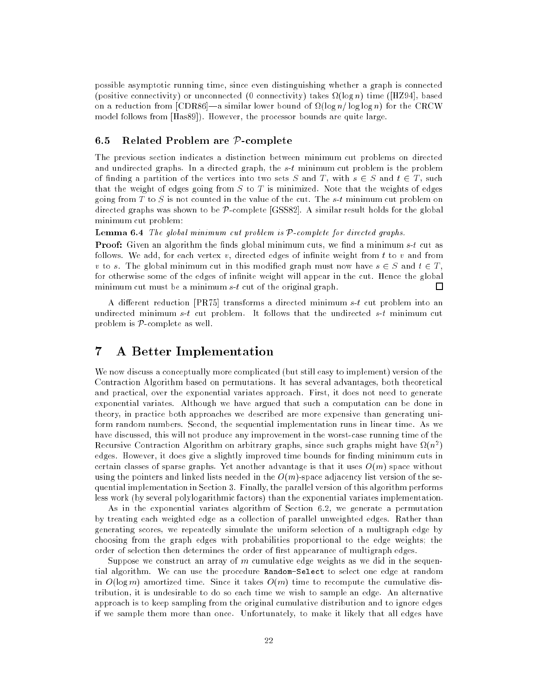possible asymptotic running time, since even distinguishing whether a graph is connected (positive connectivity) or unconnected (0 connectivity) takes (log n) time ([HZ94], based on a reduction from [CDR86]—a similar lower bound of  $\Omega(\log n/\log\log n)$  for the CRCW model follows from [Has89]). However, the processor bounds are quite large.

## 6.5 Related Problem are  $P$ -complete

The previous section indicates a distinction between minimum cut problems on directed and undirected graphs. In a directed graph, the  $s-t$  minimum cut problem is the problem of finding a partition of the vertices into two sets S and T, with  $s \in S$  and  $t \in T$ , such that the weight of edges going from  $S$  to  $T$  is minimized. Note that the weights of edges going from T to S is not counted in the value of the cut. The  $s$ -t minimum cut problem on directed graphs was shown to be P-complete [GSS82]. A similar result holds for the global minimum cut problem:

**Lemma 6.4** The global minimum cut problem is  $P$ -complete for directed graphs.

**Proof:** Given an algorithm the finds global minimum cuts, we find a minimum  $s-t$  cut as follows. We add, for each vertex  $v$ , directed edges of infinite weight from  $t$  to  $v$  and from v to s. The global minimum cut in this modified graph must now have  $s \in S$  and  $t \in T$ , for otherwise some of the edges of infinite weight will appear in the cut. Hence the global minimum cut must be a minimum s-t cut of the original graph.  $\Box$ 

A different reduction  $[PR75]$  transforms a directed minimum s-t cut problem into an undirected minimum s-t cut problem. It follows that the undirected s-t minimum cut problem is  $P$ -complete as well.

#### $\overline{7}$ 7 A Better Implementation

We now discuss a conceptually more complicated (but still easy to implement) version of the Contraction Algorithm based on permutations. It has several advantages, both theoretical and practical, over the exponential variates approach. First, it does not need to generate exponential variates. Although we have argued that such a computation can be done in theory, in practice both approaches we described are more expensive than generating uniform random numbers. Second, the sequential implementation runs in linear time. As we have discussed, this will not produce any improvement in the worst-case running time of the Recursive Contraction Algorithm on arbitrary graphs, since such graphs might have  $\Omega(n^2)$ edges. However, it does give a slightly improved time bounds for finding minimum cuts in certain classes of sparse graphs. Yet another advantage is that it uses  $O(m)$  space without using the pointers and linked lists needed in the  $O(m)$ -space adjacency list version of the sequential implementation in Section 3. Finally, the parallel version of this algorithm performs less work (by several polylogarithmic factors) than the exponential variates implementation.

As in the exponential variates algorithm of Section 6.2, we generate a permutation by treating each weighted edge as a collection of parallel unweighted edges. Rather than generating scores, we repeatedly simulate the uniform selection of a multigraph edge by choosing from the graph edges with probabilities proportional to the edge weights; the order of selection then determines the order of first appearance of multigraph edges.

Suppose we construct an array of  $m$  cumulative edge weights as we did in the sequential algorithm. We can use the procedure Random-Select to select one edge at random in  $O(\log m)$  amortized time. Since it takes  $O(m)$  time to recompute the cumulative distribution, it is undesirable to do so each time we wish to sample an edge. An alternative approach is to keep sampling from the original cumulative distribution and to ignore edges if we sample them more than once. Unfortunately, to make it likely that all edges have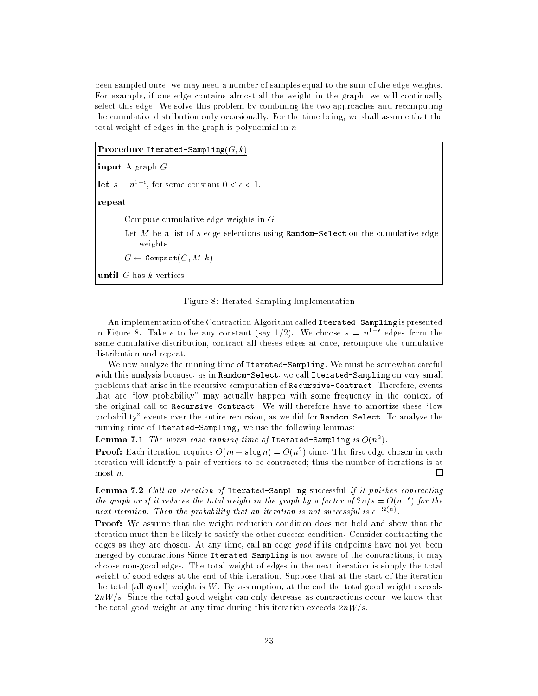been sampled once, we may need a number of samples equal to the sum of the edge weights. For example, if one edge contains almost all the weight in the graph, we will continually select this edge. We solve this problem by combining the two approaches and recomputing the cumulative distribution only occasionally. For the time being, we shall assume that the total weight of edges in the graph is polynomial in  $n$ .

**Procedure Iterated-Sampling** $(G, k)$ 

input A graph G

let  $s = n^{1+\epsilon}$ , for some constant  $0 < \epsilon < 1$ .

repeat

Compute cumulative edge weights in G

Let  $M$  be a list of  $s$  edge selections using **Random-Select** on the cumulative edge weights

 $G \leftarrow$  Compact $(G, M, k)$ 

until  $G$  has  $k$  vertices



An implementation of the Contraction Algorithm called Iterated-Sampling is presented in Figure 8. Take  $\epsilon$  to be any constant (say 1/2). We choose  $s = n^{1+\epsilon}$  edges from the same cumulative distribution, contract all theses edges at once, recompute the cumulative distribution and repeat.

We now analyze the running time of Iterated-Sampling. We must be somewhat careful with this analysis because, as in Random-Select, we call Iterated-Sampling on very small problems that arise in the recursive computation of Recursive-Contract. Therefore, events that are "low probability" may actually happen with some frequency in the context of the original call to Recursive-Contract. We will therefore have to amortize these "low probability" events over the entire recursion, as we did for Random-Select. To analyze the running time of Iterated-Sampling, we use the following lemmas:

Lemma 7.1 The worst case running time of Iterated-Sampling is  $O(n^3)$ .

**Proof:** Each iteration requires  $O(m + s \log n) = O(n^2)$  time. The first edge chosen in each iteration will identify a pair of vertices to be contracted; thus the number of iterations is at most n.  $\Box$ 

**Lemma 7.2** Call an iteration of Iterated-Sampling successful if it finishes contracting the graph or if it reduces the total weight in the graph by a factor of  $2n/s = O(n^{-\epsilon})$  for the next iteration. Then the probability that an iteration is not successful is  $e^{-\Delta t(n)}$ .

**Proof:** We assume that the weight reduction condition does not hold and show that the iteration must then be likely to satisfy the other success condition. Consider contracting the edges as they are chosen. At any time, call an edge good if its endpoints have not yet been merged by contractions Since Iterated-Sampling is not aware of the contractions, it may choose non-good edges. The total weight of edges in the next iteration is simply the total weight of good edges at the end of this iteration. Suppose that at the start of the iteration the total (all good) weight is  $W$ . By assumption, at the end the total good weight exceeds  $2nW/s$ . Since the total good weight can only decrease as contractions occur, we know that the total good weight at any time during this iteration exceeds  $2nW/s$ .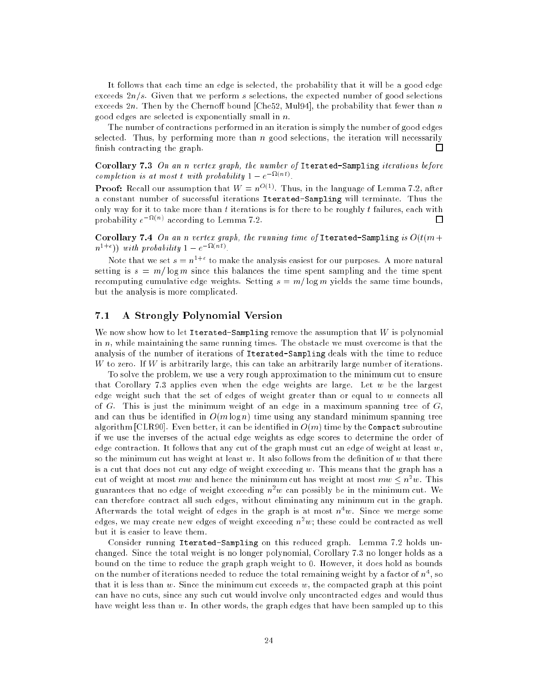It follows that each time an edge is selected, the probability that it will be a good edge exceeds  $2n/s$ . Given that we perform s selections, the expected number of good selections exceeds  $2n$ . Then by the Chernoff bound [Che52, Mul94], the probability that fewer than n good edges are selected is exponentially small in  $n$ .

The number of contractions performed in an iteration is simply the number of good edges selected. Thus, by performing more than  $n$  good selections, the iteration will necessarily finish contracting the graph.  $\Box$ 

Corollary 7.3 On an n vertex graph, the number of Iterated-Sampling iterations before completion is at most t with probability  $1 - e^{-\Omega(nt)}$ .

**Proof:** Recall our assumption that  $W = n^{O(1)}$ . Thus, in the language of Lemma 7.2, after a constant number of successful iterations Iterated-Sampling will terminate. Thus the only way for it to take more than  $t$  iterations is for there to be roughly  $t$  failures, each with probability  $e^{-\Omega(n)}$  according to Lemma 7.2. П

Corollary 7.4 On an n vertex graph, the running time of Iterated-Sampling is  $O(t(m +$  $(n^{1+\epsilon})$  with probability  $1-e^{-\Omega(nt)}$ .

Note that we set  $s = n^{1+\epsilon}$  to make the analysis easiest for our purposes. A more natural setting is  $s = m/\log m$  since this balances the time spent sampling and the time spent recomputing cumulative edge weights. Setting  $s = m/\log m$  yields the same time bounds, but the analysis is more complicated.

## 7.1 A Strongly Polynomial Version

We now show how to let Iterated-Sampling remove the assumption that  $W$  is polynomial in  $n$ , while maintaining the same running times. The obstacle we must overcome is that the analysis of the number of iterations of Iterated-Sampling deals with the time to reduce W to zero. If W is arbitrarily large, this can take an arbitrarily large number of iterations.

To solve the problem, we use a very rough approximation to the minimum cut to ensure that Corollary 7.3 applies even when the edge weights are large. Let  $w$  be the largest edge weight such that the set of edges of weight greater than or equal to w connects all of G. This is just the minimum weight of an edge in a maximum spanning tree of  $G$ , and can thus be identified in  $O(m \log n)$  time using any standard minimum spanning tree algorithm [CLR90]. Even better, it can be identified in  $O(m)$  time by the Compact subroutine if we use the inverses of the actual edge weights as edge scores to determine the order of edge contraction. It follows that any cut of the graph must cut an edge of weight at least  $w$ , so the minimum cut has weight at least  $w$ . It also follows from the definition of  $w$  that there is a cut that does not cut any edge of weight exceeding  $w$ . This means that the graph has a cut of weight at most  $mw$  and hence the minimum cut has weight at most  $mw\leq n^zw$ . This guarantees that no edge of weight exceeding  $n^{\omega}$  can possibly be in the minimum cut. We can therefore contract all such edges, without eliminating any minimum cut in the graph. Afterwards the total weight of edges in the graph is at most  $n+w$ . Since we merge some edges, we may create new edges of weight exceeding  $n^{\ast}w;$  these could be contracted as well but it is easier to leave them.

Consider running Iterated-Sampling on this reduced graph. Lemma 7.2 holds unchanged. Since the total weight is no longer polynomial, Corollary 7.3 no longer holds as a bound on the time to reduce the graph graph weight to 0. However, it does hold as bounds on the number of iterations needed to reduce the total remaining weight by a factor of  $n$  ', so that it is less than  $w$ . Since the minimum cut exceeds  $w$ , the compacted graph at this point can have no cuts, since any such cut would involve only uncontracted edges and would thus have weight less than w. In other words, the graph edges that have been sampled up to this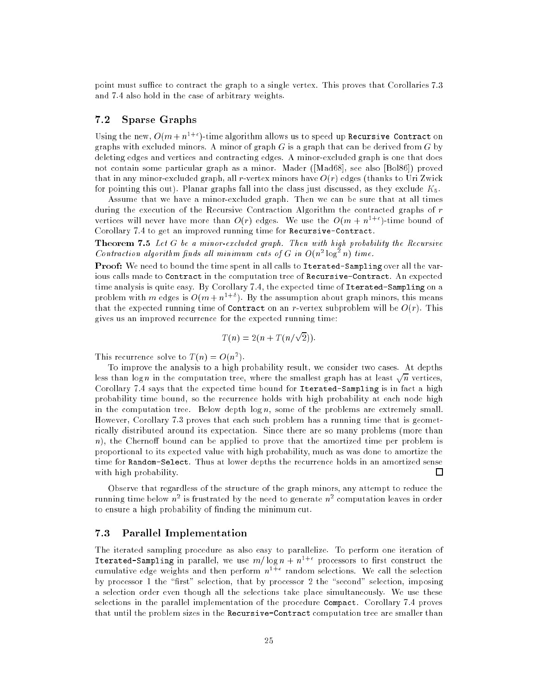point must suffice to contract the graph to a single vertex. This proves that Corollaries 7.3 and 7.4 also hold in the case of arbitrary weights.

## 7.2 Sparse Graphs

Using the new,  $O(m + n^{1+\epsilon})$ -time algorithm allows us to speed up Recursive Contract on graphs with excluded minors. A minor of graph  $G$  is a graph that can be derived from  $G$  by deleting edges and vertices and contracting edges. A minor-excluded graph is one that does not contain some particular graph as a minor. Mader ([Mad68], see also [Bol86]) proved that in any minor-excluded graph, all r-vertex minors have  $O(r)$  edges (thanks to Uri Zwick for pointing this out). Planar graphs fall into the class just discussed, as they exclude  $K_5$ .

Assume that we have a minor-excluded graph. Then we can be sure that at all times during the execution of the Recursive Contraction Algorithm the contracted graphs of r vertices will never have more than  $O(r)$  edges. We use the  $O(m + n^{1+\epsilon})$ -time bound of Corollary 7.4 to get an improved running time for Recursive-Contract.

Theorem 7.5 Let G be a minor-excluded graph. Then with high probability the Recursive Contraction algorithm finds all minimum cuts of G in  $O(n^2 \log^2 n)$  time.

Proof: We need to bound the time spent in all calls to Iterated-Sampling over all the various calls made to Contract in the computation tree of Recursive-Contract. An expected time analysis is quite easy. By Corollary 7.4, the expected time of Iterated-Sampling on a problem with m edges is  $O(m + n^{1+\delta})$ . By the assumption about graph minors, this means that the expected running time of **Contract** on an r-vertex subproblem will be  $O(r)$ . This gives us an improved recurrence for the expected running time:

$$
T(n) = 2(n + T(n/\sqrt{2})).
$$

This recurrence solve to  $T(n) = O(n^2)$ .

To improve the analysis to a high probability result, we consider two cases. At depths less than logn in the computation tree, where the smallest graph has at least  $\sqrt{n}$  vertices. Corollary 7.4 says that the expected time bound for Iterated-Sampling is in fact a high probability time bound, so the recurrence holds with high probability at each node high in the computation tree. Below depth  $log n$ , some of the problems are extremely small. However, Corollary 7.3 proves that each such problem has a running time that is geometrically distributed around its expectation. Since there are so many problems (more than n), the Chernoff bound can be applied to prove that the amortized time per problem is proportional to its expected value with high probability, much as was done to amortize the time for Random-Select. Thus at lower depths the recurrence holds in an amortized sense with high probability. П

Observe that regardless of the structure of the graph minors, any attempt to reduce the running time below  $n^{\omega}$  is frustrated by the need to generate  $n^{\omega}$  computation leaves in order to ensure a high probability of nding the minimum cut.

## 7.3 Parallel Implementation

The iterated sampling procedure as also easy to parallelize. To perform one iteration of Iterated-Sampling in parallel, we use  $m/\log n + n^{1+\epsilon}$  processors to first construct the cumulative edge weights and then perform  $n^{1+\epsilon}$  random selections. We call the selection by processor 1 the "first" selection, that by processor 2 the "second" selection, imposing a selection order even though all the selections take place simultaneously. We use these selections in the parallel implementation of the procedure Compact. Corollary 7.4 proves that until the problem sizes in the Recursive-Contract computation tree are smaller than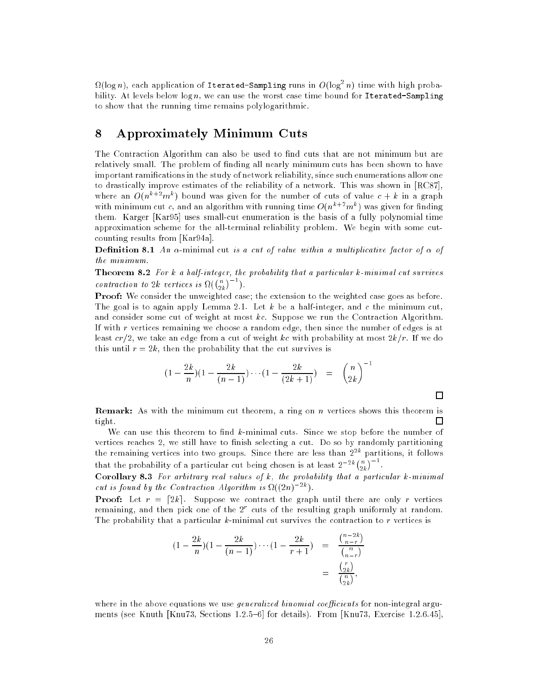$\Omega(\log n)$ , each application of Iterated-Sampling runs in  $O(\log^2 n)$  time with high probability. At levels below  $\log n$ , we can use the worst case time bound for Iterated-Sampling to show that the running time remains polylogarithmic.

# 8 Approximately Minimum Cuts

The Contraction Algorithm can also be used to find cuts that are not minimum but are relatively small. The problem of finding all nearly minimum cuts has been shown to have important ramifications in the study of network reliability, since such enumerations allow one to drastically improve estimates of the reliability of a network. This was shown in [RC87], where an  $O(n^{k+2}m^k)$  bound was given for the number of cuts of value  $c + k$  in a graph with minimum cut c, and an algorithm with running time  $O(n^{k+2}m^k)$  was given for finding them. Karger [Kar95] uses small-cut enumeration is the basis of a fully polynomial time approximation scheme for the all-terminal reliability problem. We begin with some cutcounting results from [Kar94a].

**Definition 8.1** An  $\alpha$ -minimal cut is a cut of value within a multiplicative factor of  $\alpha$  of the minimum.

Theorem 8.2 For k a half-integer, the probability that a particular k-minimal cut survives contraction to  $2k$  vertices is  $\Omega(\binom{n}{2k}^{-1})$ .

**Proof:** We consider the unweighted case; the extension to the weighted case goes as before. The goal is to again apply Lemma 2.1. Let  $k$  be a half-integer, and c the minimum cut, and consider some cut of weight at most kc. Suppose we run the Contraction Algorithm. If with r vertices remaining we choose a random edge, then since the number of edges is at least  $cr/2$ , we take an edge from a cut of weight kc with probability at most  $2k/r$ . If we do this until  $r = 2k$ , then the probability that the cut survives is

$$
(1 - \frac{2k}{n})(1 - \frac{2k}{(n-1)}) \cdots (1 - \frac{2k}{(2k+1)}) = {\binom{n}{2k}}^{-1}
$$

 $\Box$ 

**Remark:** As with the minimum cut theorem, a ring on n vertices shows this theorem is tight. П

We can use this theorem to find  $k$ -minimal cuts. Since we stop before the number of vertices reaches 2, we still have to finish selecting a cut. Do so by randomly partitioning the remaining vertices into two groups. Since there are less than  $2^{2k}$  partitions, it follows that the probability of a particular cut being chosen is at least  $2^{-2k} {n \choose 2k}^{-1}$ .

**Corollary 8.3** For arbitrary real values of  $k$ , the probability that a particular  $k$ -minimal cut is found by the Contraction Algorithm is  $\Omega((2n)^{-2k})$ .

**Proof:** Let  $r = \lfloor 2k \rfloor$ . Suppose we contract the graph until there are only r vertices remaining, and then pick one of the  $2<sup>r</sup>$  cuts of the resulting graph uniformly at random. The probability that a particular  $k$ -minimal cut survives the contraction to  $r$  vertices is

$$
(1 - \frac{2k}{n})(1 - \frac{2k}{(n-1)}) \cdots (1 - \frac{2k}{r+1}) = \frac{\binom{n-2k}{n-r}}{\binom{n}{n-r}} = \frac{\binom{n}{2k}}{\binom{n}{2k}},
$$

where in the above equations we use *generalized binomial coefficients* for non-integral arguments (see Knuth [Knu73, Sections 1.2.5-6] for details). From [Knu73, Exercise 1.2.6.45],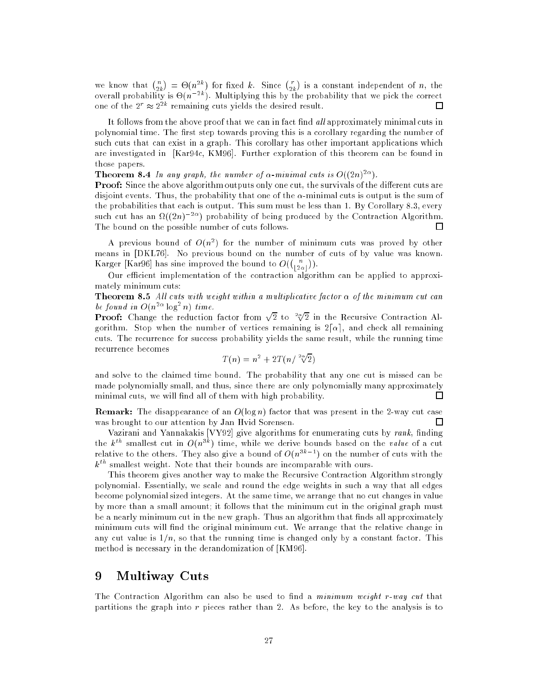we know that  $\binom{n}{2k}$  $= \Theta(n^{2k})$  for fixed k. Since  $\binom{r}{2k}$  is a constant independent of n, the overall probability is  $\Theta(n^{-2k})$ . Multiplying this by the probability that we pick the correct one of the  $2^r \approx 2^{2k}$  remaining cuts yields the desired result. П

It follows from the above proof that we can in fact find  $all$  approximately minimal cuts in polynomial time. The first step towards proving this is a corollary regarding the number of such cuts that can exist in a graph. This corollary has other important applications which are investigated in [Kar94c, KM96]. Further exploration of this theorem can be found in those papers.

**Theorem 8.4** In any graph, the number of  $\alpha$ -minimal cuts is  $O((2n)^{2\alpha})$ .

**Proof:** Since the above algorithm outputs only one cut, the survivals of the different cuts are disjoint events. Thus, the probability that one of the  $\alpha$ -minimal cuts is output is the sum of the probabilities that each is output. This sum must be less than 1. By Corollary 8.3, every such cut has an  $\Omega((2n)^{-2\alpha})$  probability of being produced by the Contraction Algorithm. The bound on the possible number of cuts follows. 口

A previous bound of  $O(n^2)$  for the number of minimum cuts was proved by other means in [DKL76]. No previous bound on the number of cuts of by value was known. Karger [Kar96] has sine improved the bound to  $O(\binom{n}{\lfloor 2\alpha \rfloor})$  $\sim$ ).

Our efficient implementation of the contraction algorithm can be applied to approximately minimum cuts:

Theorem 8.5 All cuts with weight within a multiplicative factor  $\alpha$  of the minimum cut can be found in  $O(n^{2\alpha} \log^2 n)$  time.

**Proof:** Change the reduction factor from  $\sqrt{2}$  to  $\sqrt[2\infty]{2}$  in the Recursive Contraction Algorithm. Stop when the number of vertices remaining is  $2\lceil \alpha \rceil$ , and check all remaining cuts. The recurrence for success probability yields the same result, while the running time recurrence becomes

$$
T(n) = n^2 + 2T(n/\sqrt[2\alpha]{2})
$$

and solve to the claimed time bound. The probability that any one cut is missed can be made polynomially small, and thus, since there are only polynomially many approximately 口 minimal cuts, we will find all of them with high probability.

**Remark:** The disappearance of an  $O(\log n)$  factor that was present in the 2-way cut case was brought to our attention by Jan Hvid Sorensen.  $\Box$ 

Vazirani and Yannakakis [VY92] give algorithms for enumerating cuts by  $rank$ , finding the  $k^{th}$  smallest cut in  $O(n^{3k})$  time, while we derive bounds based on the value of a cut relative to the others. They also give a bound of  $O(n^{3k-1})$  on the number of cuts with the  $k^{th}$  smallest weight. Note that their bounds are incomparable with ours.

This theorem gives another way to make the Recursive Contraction Algorithm strongly polynomial. Essentially, we scale and round the edge weights in such a way that all edges become polynomial sized integers. At the same time, we arrange that no cut changes in value by more than a small amount; it follows that the minimum cut in the original graph must be a nearly minimum cut in the new graph. Thus an algorithm that finds all approximately minimum cuts will find the original minimum cut. We arrange that the relative change in any cut value is  $1/n$ , so that the running time is changed only by a constant factor. This method is necessary in the derandomization of [KM96].

#### 9 Multiway Cuts

The Contraction Algorithm can also be used to find a *minimum weight r-way cut* that partitions the graph into  $r$  pieces rather than 2. As before, the key to the analysis is to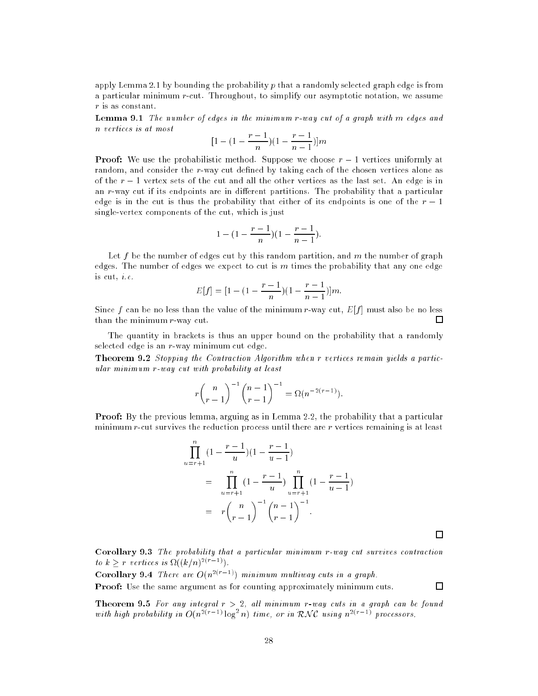apply Lemma 2.1 by bounding the probability  $p$  that a randomly selected graph edge is from a particular minimum r-cut. Throughout, to simplify our asymptotic notation, we assume r is as constant.

Lemma 9.1 The number of edges in the minimum r-way cut of a graph with m edges and n vertices is at most

$$
[1 - (1 - \frac{r-1}{n})(1 - \frac{r-1}{n-1})]m
$$

**Proof:** We use the probabilistic method. Suppose we choose  $r-1$  vertices uniformly at random, and consider the r-way cut defined by taking each of the chosen vertices alone as of the  $r-1$  vertex sets of the cut and all the other vertices as the last set. An edge is in an  $r$ -way cut if its endpoints are in different partitions. The probability that a particular edge is in the cut is thus the probability that either of its endpoints is one of the  $r-1$ single-vertex components of the cut, which is just

$$
1 - (1 - \frac{r-1}{n})(1 - \frac{r-1}{n-1}).
$$

Let  $f$  be the number of edges cut by this random partition, and  $m$  the number of graph edges. The number of edges we expect to cut is  $m$  times the probability that any one edge is cut, i.e.

$$
E[f] = [1 - (1 - \frac{r-1}{n})(1 - \frac{r-1}{n-1})]m.
$$

Since f can be no less than the value of the minimum r-way cut,  $E[f]$  must also be no less than the minimum r-way cut. □

The quantity in brackets is thus an upper bound on the probability that a randomly selected edge is an r-way minimum cut edge.

Theorem 9.2 Stopping the Contraction Algorithm when r vertices remain yields a particular minimum r-way cut with probability at least

$$
r \binom{n}{r-1}^{-1} \binom{n-1}{r-1}^{-1} = \Omega(n^{-2(r-1)})
$$

Proof: By the previous lemma, arguing as in Lemma 2.2, the probability that a particular minimum r-cut survives the reduction process until there are r vertices remaining is at least

$$
\prod_{u=r+1}^{n} (1 - \frac{r-1}{u})(1 - \frac{r-1}{u-1})
$$
\n
$$
= \prod_{u=r+1}^{n} (1 - \frac{r-1}{u}) \prod_{u=r+1}^{n} (1 - \frac{r-1}{u-1})
$$
\n
$$
= r {n \choose r-1}^{-1} {n-1 \choose r-1}^{-1}.
$$

 $\Box$ 

 $\Box$ 

Corollary 9.3 The probability that a particular minimum r-way cut survives contraction to  $k \geq r$  vertices is  $\Omega((k/n)^{2(r-1)})$ .

**Corollary 9.4** There are  $O(n^{2(r-1)})$  minimum multiway cuts in a graph. **Proof:** Use the same argument as for counting approximately minimum cuts.

**Theorem 9.5** For any integral  $r > 2$ , all minimum r-way cuts in a graph can be found with high probability in  $O(n^{2(r-1)}\log^2 n)$  time, or in RNC using  $n^{2(r-1)}$  processors.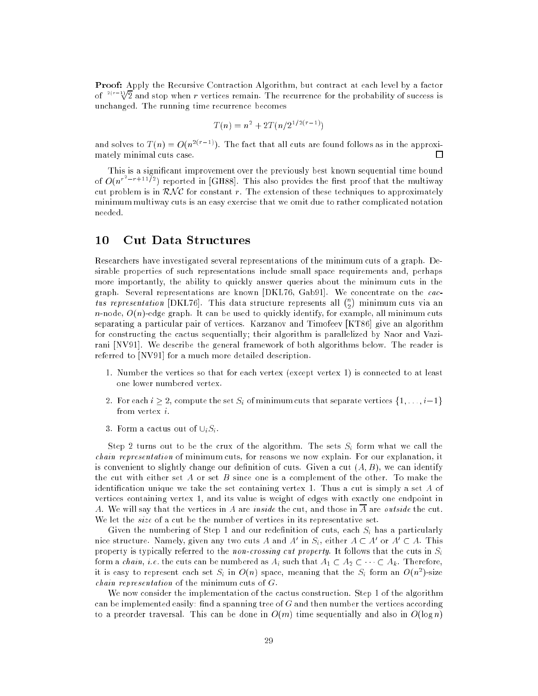Proof: Apply the Recursive Contraction Algorithm, but contract at each level by a factor of <sup>2(r-1</sup> $\sqrt{2}$  and stop when r vertices remain. The recurrence for the probability of success is unchanged. The running time recurrence becomes

$$
T(n) = n^2 + 2T(n/2^{1/2(r-1)})
$$

and solves to  $T(n) = O(n^{2(r-1)})$ . The fact that all cuts are found follows as in the approximately minimal cuts case. □

This is a signicant improvement over the previously best known sequential time bound of  $O(n^{r^2-r+11/2})$  reported in [GH88]. This also provides the first proof that the multiway cut problem is in  $\mathcal{RNC}$  for constant r. The extension of these techniques to approximately minimum multiway cuts is an easy exercise that we omit due to rather complicated notation needed.

## 10 Cut Data Structures

Researchers have investigated several representations of the minimum cuts of a graph. Desirable properties of such representations include small space requirements and, perhaps more importantly, the ability to quickly answer queries about the minimum cuts in the graph. Several representations are known [DKL76, Gab91]. We concentrate on the cactus representation [DKL76]. This data structure represents all  $\binom{n}{0}$ n-node,  $O(n)$ -edge graph. It can be used to quickly identify, for example, all minimum cuts separating a particular pair of vertices. Karzanov and Timofeev [KT86] give an algorithm for constructing the cactus sequentially; their algorithm is parallelized by Naor and Vazirani [NV91]. We describe the general framework of both algorithms below. The reader is referred to [NV91] for a much more detailed description.

- 1. Number the vertices so that for each vertex (except vertex 1) is connected to at least one lower numbered vertex.
- 2. For each  $i \geq 2$ , compute the set  $S_i$  of minimum cuts that separate vertices  $\{1, \ldots, i-1\}$ from vertex i.
- 3. Form a cactus out of  $\cup_i S_i$ .

Step 2 turns out to be the crux of the algorithm. The sets  $S_i$  form what we call the chain representation of minimum cuts, for reasons we now explain. For our explanation, it is convenient to slightly change our definition of cuts. Given a cut  $(A, B)$ , we can identify the cut with either set  $A$  or set  $B$  since one is a complement of the other. To make the identification unique we take the set containing vertex 1. Thus a cut is simply a set  $A$  of vertices containing vertex 1, and its value is weight of edges with exactly one endpoint in A. We will say that the vertices in A are *inside* the cut, and those in  $\overline{A}$  are *outside* the cut. We let the *size* of a cut be the number of vertices in its representative set.

Given the numbering of Step 1 and our redefinition of cuts, each  $S_i$  has a particularly nice structure. Namely, given any two cuts A and A' in  $S_i$ , either  $A \subset A'$  or  $A' \subset A$ . This property is typically referred to the non-crossing cut property. It follows that the cuts in  $S_i$ form a *chain, i.e.* the cuts can be numbered as  $A_i$  such that  $A_1 \subset A_2 \subset \cdots \subset A_k$ . Therefore, it is easy to represent each set  $S_i$  in  $O(n)$  space, meaning that the  $S_i$  form an  $O(n^2)$ -size chain representation of the minimum cuts of G.

We now consider the implementation of the cactus construction. Step 1 of the algorithm can be implemented easily: find a spanning tree of  $G$  and then number the vertices according to a preorder traversal. This can be done in  $O(m)$  time sequentially and also in  $O(\log n)$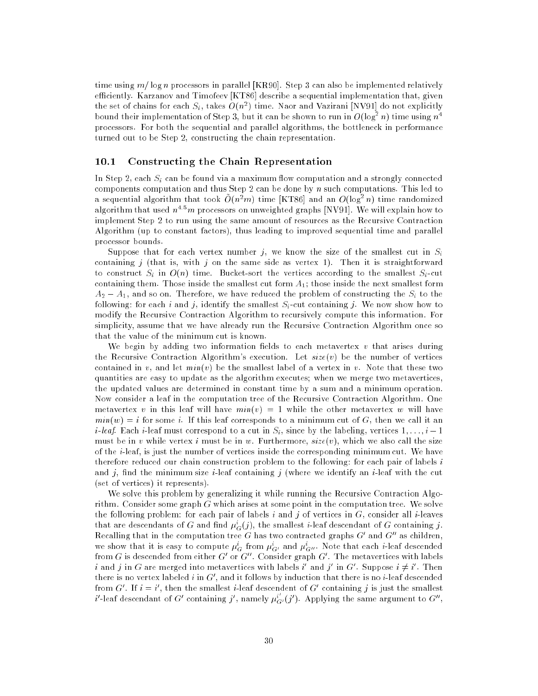time using  $m/\log n$  processors in parallel [KR90]. Step 3 can also be implemented relatively efficiently. Karzanov and Timofeev [KT86] describe a sequential implementation that, given the set of chains for each  $S_i$ , takes  $O(n^2)$  time. Naor and Vazirani [NV91] do not explicitly bound their implementation of Step 3, but it can be shown to run in  $O(\log^2 n)$  time using  $n^4$ processors. For both the sequential and parallel algorithms, the bottleneck in performance turned out to be Step 2, constructing the chain representation.

#### $10.1$ Constructing the Chain Representation

In Step 2, each  $S_i$  can be found via a maximum flow computation and a strongly connected components computation and thus Step 2 can be done by n such computations. This led to a sequential algorithm that took  $O(n^2m)$  time [KT86] and an  $O(log^2 n)$  time randomized algorithm that used  $n^{4.5}m$  processors on unweighted graphs [NV91]. We will explain how to implement Step 2 to run using the same amount of resources as the Recursive Contraction Algorithm (up to constant factors), thus leading to improved sequential time and parallel processor bounds.

Suppose that for each vertex number j, we know the size of the smallest cut in  $S_i$ containing j (that is, with j on the same side as vertex 1). Then it is straightforward to construct  $S_i$  in  $O(n)$  time. Bucket-sort the vertices according to the smallest  $S_i$ -cut containing them. Those inside the smallest cut form  $A_1$ ; those inside the next smallest form  $A_2 - A_1$ , and so on. Therefore, we have reduced the problem of constructing the  $S_i$  to the following: for each i and j, identify the smallest  $S_i$ -cut containing j. We now show how to modify the Recursive Contraction Algorithm to recursively compute this information. For simplicity, assume that we have already run the Recursive Contraction Algorithm once so that the value of the minimum cut is known.

We begin by adding two information fields to each metavertex  $v$  that arises during the Recursive Contraction Algorithm's execution. Let  $size(v)$  be the number of vertices contained in v, and let  $min(v)$  be the smallest label of a vertex in v. Note that these two quantities are easy to update as the algorithm executes; when we merge two metavertices, the updated values are determined in constant time by a sum and a minimum operation. Now consider a leaf in the computation tree of the Recursive Contraction Algorithm. One metavertex v in this leaf will have  $min(v) = 1$  while the other metavertex w will have  $min(w) = i$  for some i. If this leaf corresponds to a minimum cut of G, then we call it an *i*-leaf. Each *i*-leaf must correspond to a cut in  $S_i$ , since by the labeling, vertices  $1, \ldots, i-1$ must be in v while vertex i must be in w. Furthermore,  $size(v)$ , which we also call the size of the i-leaf, is just the number of vertices inside the corresponding minimum cut. We have therefore reduced our chain construction problem to the following: for each pair of labels  $i$ and j, find the minimum size *i*-leaf containing j (where we identify an *i*-leaf with the cut (set of vertices) it represents).

We solve this problem by generalizing it while running the Recursive Contraction Algorithm. Consider some graph  $G$  which arises at some point in the computation tree. We solve the following problem: for each pair of labels i and j of vertices in  $G$ , consider all i-leaves that are descendants of G and find  $\mu_G^i(j)$ , the smallest *i*-leaf descendant of G containing j. Recalling that in the computation tree G has two contracted graphs  $G'$  and  $G''$  as children, we show that it is easy to compute  $\mu_G^i$  from  $\mu_{G'}^i$  and  $\mu_{G''}^i$ . Note that each *i*-leaf descended from G is descended from either G' or G''. Consider graph G'. The metavertices with labels i and j in G are merged into metavertices with labels i' and j' in G'. Suppose  $i \neq i'$ . Then there is no vertex labeled i in  $G'$ , and it follows by induction that there is no i-leaf descended from G'. If  $i = i'$ , then the smallest *i*-leaf descendent of G' containing j is just the smallest i'-leaf descendant of  $G'$  containing j', namely  $\mu_{G'}^{i'}(j')$ . Applying the same argument to  $G'',$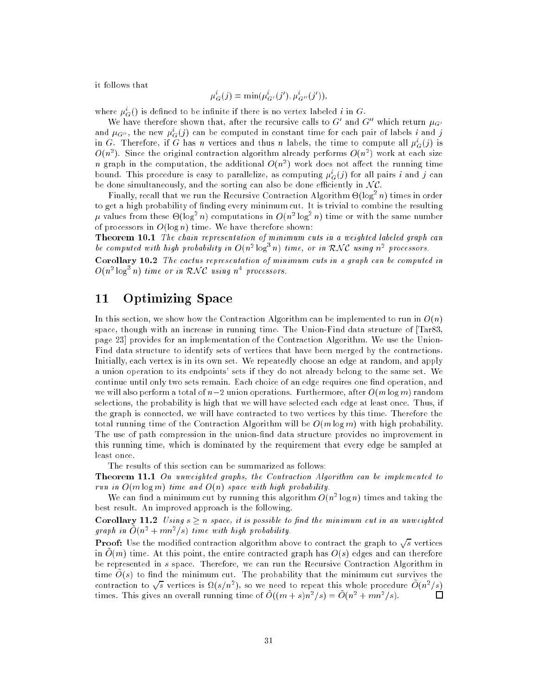it follows that

$$
\mu_G^i(j) = \min(\mu_{G'}^i(j'), \mu_{G''}^i(j')),
$$

where  $\mu_G^i()$  is defined to be infinite if there is no vertex labeled i in  $G.$ 

We have therefore shown that, after the recursive calls to G' and G'' which return  $\mu_{G'}$ and  $\mu_{G^{\prime\prime}}$ , the new  $\mu^i_G(j)$  can be computed in constant time for each pair of labels  $i$  and  $j$ in G. Therefore, if G has n vertices and thus n labels, the time to compute all  $\mu_G^i(j)$  is  $O(n^2)$ . Since the original contraction algorithm already performs  $O(n^2)$  work at each size n graph in the computation, the additional  $O(n^2)$  work does not affect the running time bound. This procedure is easy to parallelize, as computing  $\mu_G^i(j)$  for all pairs i and j can be done simultaneously, and the sorting can also be done efficiently in  $NC$ .

Finally, recall that we run the Recursive Contraction Algorithm  $\Theta(\log~n)$  times in order to get a high probability of finding every minimum cut. It is trivial to combine the resulting  $\mu$  values from these  $\Theta(\log^2 n)$  computations in  $O(n^2 \log^2 n)$  time or with the same number of processors in  $O(\log n)$  time. We have therefore shown:

Theorem 10.1 The chain representation of minimum cuts in a weighted labeled graph can be computed with high probability in  $O(n^2 \log^3 n)$  time, or in RNC using  $n^2$  processors.

Corollary 10.2 The cactus representation of minimum cuts in a graph can be computed in  $O(n^2 \log^3 n)$  time or in RNC using  $n^4$  processors.

## 11 Optimizing Space

In this section, we show how the Contraction Algorithm can be implemented to run in  $O(n)$ space, though with an increase in running time. The Union-Find data structure of [Tar83, page 23] provides for an implementation of the Contraction Algorithm. We use the Union-Find data structure to identify sets of vertices that have been merged by the contractions. Initially, each vertex is in its own set. We repeatedly choose an edge at random, and apply a union operation to its endpoints' sets if they do not already belong to the same set. We continue until only two sets remain. Each choice of an edge requires one find operation, and we will also perform a total of  $n-2$  union operations. Furthermore, after  $O(m \log m)$  random selections, the probability is high that we will have selected each edge at least once. Thus, if the graph is connected, we will have contracted to two vertices by this time. Therefore the total running time of the Contraction Algorithm will be  $O(m \log m)$  with high probability. The use of path compression in the union-find data structure provides no improvement in this running time, which is dominated by the requirement that every edge be sampled at least once.

The results of this section can be summarized as follows:

Theorem 11.1 On unweighted graphs, the Contraction Algorithm can be implemented to run in  $O(m \log m)$  time and  $O(n)$  space with high probability.

We can find a minimum cut by running this algorithm  $O(n^2 \log n)$  times and taking the best result. An improved approach is the following.

**Corollary 11.2** Using  $s > n$  space, it is possible to find the minimum cut in an unweighted graph in  $O(n^2 + mn^2/s)$  time with high probability.

**Proof:** Use the modified contraction algorithm above to contract the graph to  $\sqrt{s}$  vertices in  $O(m)$  time. At this point, the entire contracted graph has  $O(s)$  edges and can therefore be represented in s space. Therefore, we can run the Recursive Contraction Algorithm in time  $O(s)$  to find the minimum cut. The probability that the minimum cut survives the contraction to  $\sqrt{s}$  vertices is  $\Omega(s/n^2)$ , so we need to repeat this whole procedure  $O(n^2/s)$ □ times. This gives an overall running time of  $O((m + s)n^2/s) = O(n^2 + mn^2/s)$ .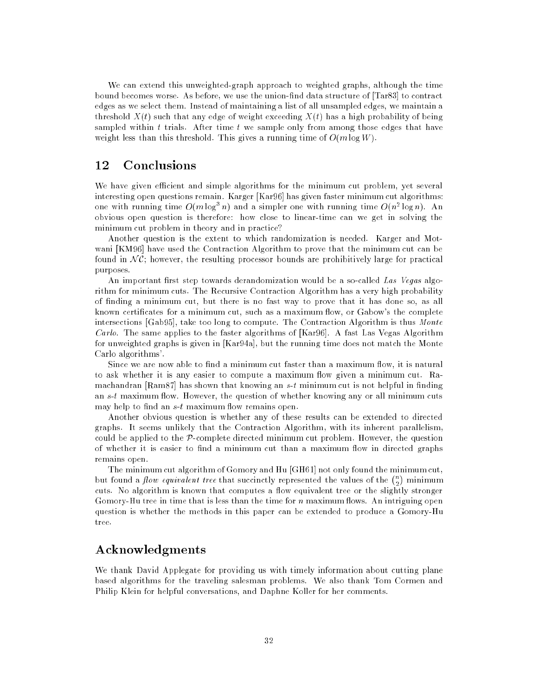We can extend this unweighted-graph approach to weighted graphs, although the time bound becomes worse. As before, we use the union-find data structure of [Tar83] to contract edges as we select them. Instead of maintaining a list of all unsampled edges, we maintain a threshold  $X(t)$  such that any edge of weight exceeding  $X(t)$  has a high probability of being sampled within t trials. After time t we sample only from among those edges that have weight less than this threshold. This gives a running time of  $O(m \log W)$ .

#### $12$ **Conclusions**

We have given efficient and simple algorithms for the minimum cut problem, yet several interesting open questions remain. Karger [Kar96] has given faster minimum cut algorithms: one with running time  $O(m \log^3 n)$  and a simpler one with running time  $O(n^2 \log n)$ . An obvious open question is therefore: how close to linear-time can we get in solving the minimum cut problem in theory and in practice?

Another question is the extent to which randomization is needed. Karger and Motwani [KM96] have used the Contraction Algorithm to prove that the minimum cut can be found in  $\mathcal{NC}$ ; however, the resulting processor bounds are prohibitively large for practical purposes.

An important first step towards derandomization would be a so-called Las Vegas algorithm for minimum cuts. The Recursive Contraction Algorithm has a very high probability of nding a minimum cut, but there is no fast way to prove that it has done so, as all known certificates for a minimum cut, such as a maximum flow, or Gabow's the complete intersections [Gab95], take too long to compute. The Contraction Algorithm is thus Monte *Carlo.* The same applies to the faster algorithms of [Kar96]. A fast Las Vegas Algorithm for unweighted graphs is given in [Kar94a], but the running time does not match the Monte Carlo algorithms'.

Since we are now able to find a minimum cut faster than a maximum flow, it is natural to ask whether it is any easier to compute a maximum flow given a minimum cut. Ramachandran [Ram87] has shown that knowing an  $s$ -t minimum cut is not helpful in finding an  $s-t$  maximum flow. However, the question of whether knowing any or all minimum cuts may help to find an  $s$ -t maximum flow remains open.

Another obvious question is whether any of these results can be extended to directed graphs. It seems unlikely that the Contraction Algorithm, with its inherent parallelism, could be applied to the  $\mathcal{P}$ -complete directed minimum cut problem. However, the question of whether it is easier to find a minimum cut than a maximum flow in directed graphs remains open.

The minimum cut algorithm of Gomory and Hu [GH61] not only found the minimum cut, but found a *flow equivalent tree* that succinctly represented the values of the  $\binom{n}{k}$ cuts. No algorithm is known that computes a 
ow equivalent tree or the slightly stronger Gomory-Hu tree in time that is less than the time for  $n$  maximum flows. An intriguing open question is whether the methods in this paper can be extended to produce a Gomory-Hu tree.

## Acknowledgments

We thank David Applegate for providing us with timely information about cutting plane based algorithms for the traveling salesman problems. We also thank Tom Cormen and Philip Klein for helpful conversations, and Daphne Koller for her comments.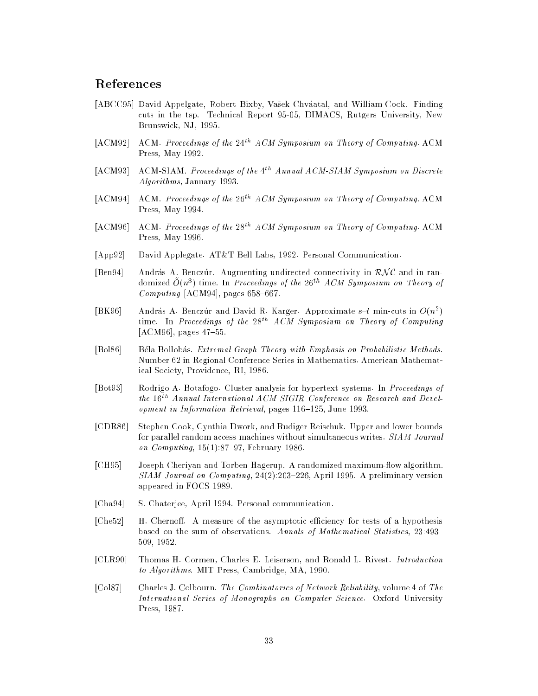## References

- [ABCC95] David Appelgate, Robert Bixby, Vašek Chváatal, and William Cook. Finding cuts in the tsp. Technical Report 95-05, DIMACS, Rutgers University, New Brunswick, NJ, 1995.
- $[ACM92]$  ACM. Proceedings of the  $24<sup>th</sup> A CM Symposium$  on Theory of Computing. ACM Press, May 1992.
- [ACM93] ACM-SIAM. Proceedings of the 4<sup>th</sup> Annual ACM-SIAM Symposium on Discrete Algorithms, January 1993.
- [ACM94] ACM. Proceedings of the  $26<sup>th</sup> A CM Sympositum$  on Theory of Computing. ACM Press, May 1994.
- [ACM96] ACM. Proceedings of the  $28^{th}$  ACM Symposium on Theory of Computing. ACM Press, May 1996.
- [App92] David Applegate. AT&T Bell Labs, 1992. Personal Communication.
- [Ben94] András A. Benczur. Augmenting undirected connectivity in  $\mathcal{RNC}$  and in randomized  $\tilde{O}(n^3)$  time. In Proceedings of the 26<sup>th</sup> ACM Symposium on Theory of  $Computing$  [ACM94], pages 658-667.
- [BK96] András A. Benczúr and David R. Karger. Approximate  $s-t$  min-cuts in  $O(n^2)$ time. In Proceedings of the  $28^{th}$  ACM Symposium on Theory of Computing [ACM96], pages  $47-55$ .
- [Bol86] Bela Bollobas. Extremal Graph Theory with Emphasis on Probabilistic Methods. Number 62 in Regional Conference Series in Mathematics. American Mathematical Society, Providence, RI, 1986.
- [Bot93] Rodrigo A. Botafogo. Cluster analysis for hypertext systems. In Proceedings of the 16th Annual International ACM SIGIR Conference on Research and Development in Information Retrieval, pages 116-125, June 1993.
- [CDR86] Stephen Cook, Cynthia Dwork, and Rudiger Reischuk. Upper and lower bounds for parallel random access machines without simultaneous writes. SIAM Journal on Computing,  $15(1):87{-}97$ , February 1986.
- [CH95] Joseph Cheriyan and Torben Hagerup. A randomized maximum-flow algorithm.  $SIAM$  Journal on Computing,  $24(2):203{-}226$ , April 1995. A preliminary version appeared in FOCS 1989.
- [Cha94] S. Chaterjee, April 1994. Personal communication.
- [Che52] H. Chernoff. A measure of the asymptotic efficiency for tests of a hypothesis based on the sum of observations. Annals of Mathematical Statistics, 23:493-509, 1952.
- [CLR90] Thomas H. Cormen, Charles E. Leiserson, and Ronald L. Rivest. Introduction to Algorithms. MIT Press, Cambridge, MA, 1990.
- [Col87] Charles J. Colbourn. The Combinatorics of Network Reliability, volume 4 of The International Series of Monographs on Computer Science. Oxford University Press, 1987.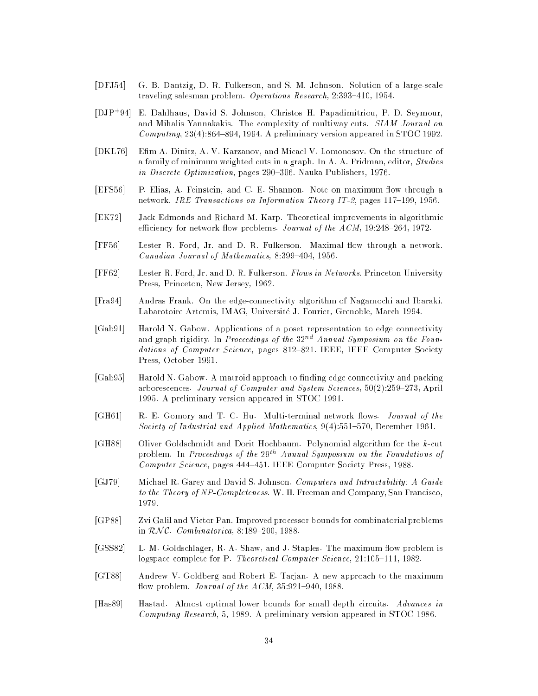- [DFJ54] G. B. Dantzig, D. R. Fulkerson, and S. M. Johnson. Solution of a large-scale traveling salesman problem. Operations Research,  $2:393-410, 1954$ .
- $[DJP+94]$ 94] E. Dahlhaus, David S. Johnson, Christos H. Papadimitriou, P. D. Seymour, and Mihalis Yannakakis. The complexity of multiway cuts. SIAM Journal on Computing,  $23(4)$ :864-894, 1994. A preliminary version appeared in STOC 1992.
- [DKL76] Em A. Dinitz, A. V. Karzanov, and Micael V. Lomonosov. On the structure of a family of minimum weighted cuts in a graph. In A. A. Fridman, editor, Studies in Discrete Optimization, pages 290-306. Nauka Publishers, 1976.
- [EFS56] P. Elias, A. Feinstein, and C. E. Shannon. Note on maximum flow through a network. IRE Transactions on Information Theory IT-2, pages  $117-199$ , 1956.
- [EK72] Jack Edmonds and Richard M. Karp. Theoretical improvements in algorithmic efficiency for network flow problems. Journal of the ACM, 19:248-264, 1972.
- [FF56] Lester R. Ford, Jr. and D. R. Fulkerson. Maximal flow through a network. Canadian Journal of Mathematics,  $8:399-404$ , 1956.
- [FF62] Lester R. Ford, Jr. and D. R. Fulkerson. Flows in Networks. Princeton University Press, Princeton, New Jersey, 1962.
- [Fra94] Andras Frank. On the edge-connectivity algorithm of Nagamochi and Ibaraki. Labarotoire Artemis, IMAG, Universite J. Fourier, Grenoble, March 1994.
- [Gab91] Harold N. Gabow. Applications of a poset representation to edge connectivity and graph rigidity. In Proceedings of the  $32^{nd}$  Annual Symposium on the Foundations of Computer Science, pages 812-821. IEEE, IEEE Computer Society Press, October 1991.
- [Gab95] Harold N. Gabow. A matroid approach to finding edge connectivity and packing arborescences. Journal of Computer and System Sciences, 50(2):259-273, April 1995. A preliminary version appeared in STOC 1991.
- [GH61] R. E. Gomory and T. C. Hu. Multi-terminal network flows. *Journal of the* Society of Industrial and Applied Mathematics,  $9(4):551-570$ , December 1961.
- [GH88] Oliver Goldschmidt and Dorit Hochbaum. Polynomial algorithm for the k-cut problem. In Proceedings of the 29<sup>th</sup> Annual Symposium on the Foundations of Computer Science, pages 444-451. IEEE Computer Society Press, 1988.
- [GJ79] Michael R. Garey and David S. Johnson. Computers and Intractability: A Guide to the Theory of NP-Completeness. W. H. Freeman and Company, San Francisco, 1979.
- [GP88] Zvi Galil and Victor Pan. Improved processor bounds for combinatorial problems in  $\mathcal{RNC}$ . Combinatorica, 8:189-200, 1988.
- [GSS82] L. M. Goldschlager, R. A. Shaw, and J. Staples. The maximum flow problem is logspace complete for P. Theoretical Computer Science, 21:105-111, 1982.
- [GT88] Andrew V. Goldberg and Robert E. Tarjan. A new approach to the maximum flow problem. Journal of the  $ACM$ ,  $35:921-940$ ,  $1988$ .
- [Has89] Hastad. Almost optimal lower bounds for small depth circuits. Advances in Computing Research, 5, 1989. A preliminary version appeared in STOC 1986.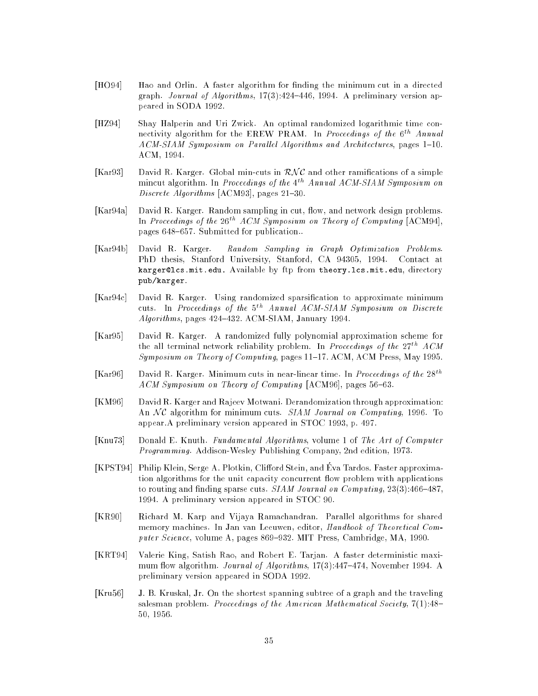- [HO94] Hao and Orlin. A faster algorithm for finding the minimum cut in a directed graph. Journal of Algorithms,  $17(3)$ :424-446, 1994. A preliminary version appeared in SODA 1992.
- [HZ94] Shay Halperin and Uri Zwick. An optimal randomized logarithmic time connectivity algorithm for the EREW PRAM. In Proceedings of the  $6<sup>th</sup>$  Annual ACM-SIAM Symposium on Parallel Algorithms and Architectures, pages 1-10. ACM, 1994.
- [Kar93] David R. Karger. Global min-cuts in  $\mathcal{RNC}$  and other ramifications of a simple mincut algorithm. In Proceedings of the 4<sup>th</sup> Annual ACM-SIAM Symposium on Discrete Algorithms  $[ACM93]$ , pages 21-30.
- [Kar94a] David R. Karger. Random sampling in cut, flow, and network design problems. In Proceedings of the  $26^{th}$  ACM Symposium on Theory of Computing [ACM94], pages 648-657. Submitted for publication..
- [Kar94b] David R. Karger. Random Sampling in Graph Optimization Problems. PhD thesis, Stanford University, Stanford, CA 94305, 1994. Contact at karger@lcs.mit.edu. Available by ftp from theory.lcs.mit.edu, directory pub/karger.
- [Kar94c] David R. Karger. Using randomized sparsification to approximate minimum cuts. In Proceedings of the  $5^{th}$  Annual ACM-SIAM Symposium on Discrete  $Algorithms$ , pages 424-432. ACM-SIAM, January 1994.
- [Kar95] David R. Karger. A randomized fully polynomial approximation scheme for the all terminal network reliability problem. In Proceedings of the  $27^{th}$  ACM Symposium on Theory of Computing, pages 11-17. ACM, ACM Press, May 1995.
- [Kar96] David R. Karger. Minimum cuts in near-linear time. In *Proceedings of the*  $28^{th}$ ACM Symposium on Theory of Computing  $[ACM96]$ , pages 56-63.
- [KM96] David R. Karger and Rajeev Motwani. Derandomization through approximation: An  $NC$  algorithm for minimum cuts. *SIAM Journal on Computing*, 1996. To appear.A preliminary version appeared in STOC 1993, p. 497.
- [Knu73] Donald E. Knuth. Fundamental Algorithms, volume 1 of The Art of Computer Programming. Addison-Wesley Publishing Company, 2nd edition, 1973.
- [KPST94] Philip Klein, Serge A. Plotkin, Clifford Stein, and Eva Tardos. Faster approximation algorithms for the unit capacity concurrent flow problem with applications to routing and finding sparse cuts. SIAM Journal on Computing,  $23(3)$ :466-487, 1994. A preliminary version appeared in STOC 90.
- [KR90] Richard M. Karp and Vijaya Ramachandran. Parallel algorithms for shared memory machines. In Jan van Leeuwen, editor, Handbook of Theoretical Computer Science, volume A, pages  $869-932$ . MIT Press, Cambridge, MA, 1990.
- [KRT94] Valerie King, Satish Rao, and Robert E. Tarjan. A faster deterministic maximum flow algorithm. Journal of Algorithms, 17(3):447-474, November 1994. A preliminary version appeared in SODA 1992.
- [Kru56] J. B. Kruskal, Jr. On the shortest spanning subtree of a graph and the traveling salesman problem. Proceedings of the American Mathematical Society, 7(1):48-50, 1956.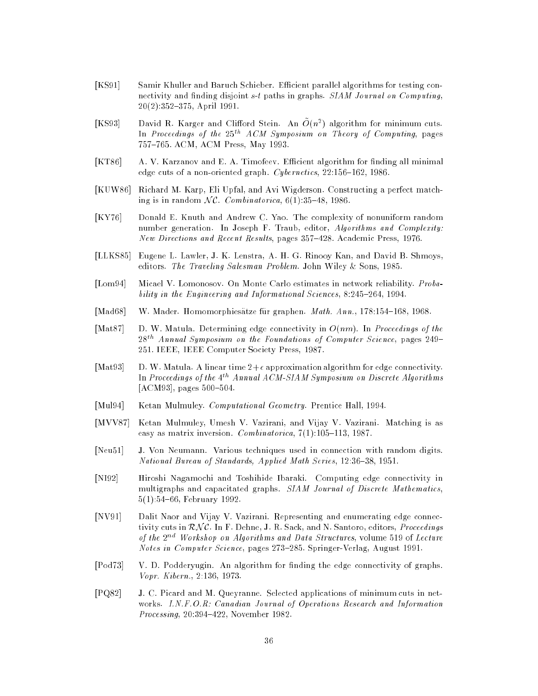- [KS91] Samir Khuller and Baruch Schieber. Efficient parallel algorithms for testing connectivity and finding disjoint  $s-t$  paths in graphs.  $SIAM$  Journal on Computing,  $20(2):352{-}375$ , April 1991.
- [KS93] David R. Karger and Clifford Stein. An  $O(n^2)$  algorithm for minimum cuts. In Proceedings of the  $25^{th}$  ACM Symposium on Theory of Computing, pages 757-765. ACM, ACM Press, May 1993.
- [KT86] A. V. Karzanov and E. A. Timofeev. Efficient algorithm for finding all minimal edge cuts of a non-oriented graph. Cybernetics,  $22:156-162$ ,  $1986$ .
- [KUW86] Richard M. Karp, Eli Upfal, and Avi Wigderson. Constructing a perfect matching is in random  $\mathcal{NC}$ . Combinatorica, 6(1):35-48, 1986.
- [KY76] Donald E. Knuth and Andrew C. Yao. The complexity of nonuniform random number generation. In Joseph F. Traub, editor, Algorithms and Complexity: New Directions and Recent Results, pages 357-428. Academic Press, 1976.
- [LLKS85] Eugene L. Lawler, J. K. Lenstra, A. H. G. Rinooy Kan, and David B. Shmoys, editors. The Traveling Salesman Problem. John Wiley & Sons, 1985.
- [Lom94] Micael V. Lomonosov. On Monte Carlo estimates in network reliability. Probability in the Engineering and Informational Sciences, 8:245-264, 1994.
- [Mad68] W. Mader. Homomorphiesätze für graphen.  $Math. Ann.$  178:154-168, 1968.
- [Mat87] D. W. Matula. Determining edge connectivity in  $O(nm)$ . In Proceedings of the  $28<sup>th</sup>$  Annual Symposium on the Foundations of Computer Science, pages 249-251. IEEE, IEEE Computer Society Press, 1987.
- [Mat93] D. W. Matula. A linear time  $2+\epsilon$  approximation algorithm for edge connectivity. In Proceedings of the  $4^{th}$  Annual ACM-SIAM Symposium on Discrete Algorithms  $[ACM93]$ , pages  $500-504$ .
- [Mul94] Ketan Mulmuley. *Computational Geometry*. Prentice Hall, 1994.
- [MVV87] Ketan Mulmuley, Umesh V. Vazirani, and Vijay V. Vazirani. Matching is as easy as matrix inversion. Combinatorica,  $7(1):105{-}113, 1987$ .
- [Neu51] J. Von Neumann. Various techniques used in connection with random digits. National Bureau of Standards, Applied Math Series, 12:36-38, 1951.
- [NI92] Hiroshi Nagamochi and Toshihide Ibaraki. Computing edge connectivity in multigraphs and capacitated graphs. SIAM Journal of Discrete Mathematics, 5(1):54-66, February 1992.
- [NV91] Dalit Naor and Vijay V. Vazirani. Representing and enumerating edge connectivity cuts in  $\mathcal{RNC}$ . In F. Dehne, J. R. Sack, and N. Santoro, editors, Proceedings of the  $2^{nd}$  Workshop on Algorithms and Data Structures, volume 519 of Lecture Notes in Computer Science, pages 273-285. Springer-Verlag, August 1991.
- [Pod73] V. D. Podderyugin. An algorithm for finding the edge connectivity of graphs. Vopr. Kibern., 2:136, 1973.
- [PQ82] J. C. Picard and M. Queyranne. Selected applications of minimum cuts in networks. I.N.F.O.R: Canadian Journal of Operations Research and Information *Processing*,  $20:394-422$ , November 1982.